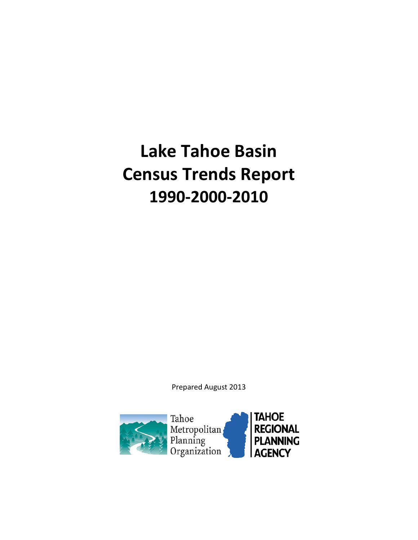# **Lake Tahoe Basin Census Trends Report 1990-2000-2010**

Prepared August 2013

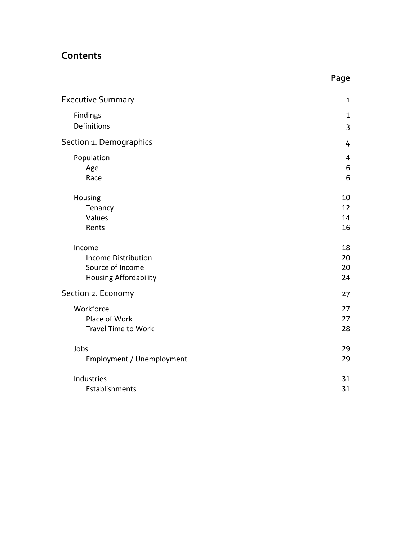## **Contents**

| <b>Executive Summary</b>     | $\mathbf{1}$   |
|------------------------------|----------------|
| Findings                     | $\mathbf{1}$   |
| Definitions                  | 3              |
| Section 1. Demographics      | 4              |
| Population                   | $\overline{4}$ |
| Age                          | 6              |
| Race                         | 6              |
| Housing                      | 10             |
| Tenancy                      | 12             |
| Values                       | 14             |
| Rents                        | 16             |
| Income                       | 18             |
| <b>Income Distribution</b>   | 20             |
| Source of Income             | 20             |
| <b>Housing Affordability</b> | 24             |
| Section 2. Economy           | 27             |
|                              |                |
| Workforce                    | 27             |
| Place of Work                | 27             |
| <b>Travel Time to Work</b>   | 28             |
| Jobs                         | 29             |
| Employment / Unemployment    | 29             |
| Industries                   | 31             |
| Establishments               | 31             |
|                              |                |

**Page**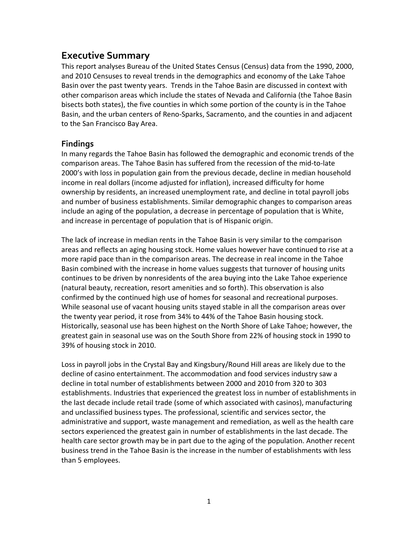## **Executive Summary**

This report analyses Bureau of the United States Census (Census) data from the 1990, 2000, and 2010 Censuses to reveal trends in the demographics and economy of the Lake Tahoe Basin over the past twenty years. Trends in the Tahoe Basin are discussed in context with other comparison areas which include the states of Nevada and California (the Tahoe Basin bisects both states), the five counties in which some portion of the county is in the Tahoe Basin, and the urban centers of Reno-Sparks, Sacramento, and the counties in and adjacent to the San Francisco Bay Area.

## **Findings**

In many regards the Tahoe Basin has followed the demographic and economic trends of the comparison areas. The Tahoe Basin has suffered from the recession of the mid-to-late 2000's with loss in population gain from the previous decade, decline in median household income in real dollars (income adjusted for inflation), increased difficulty for home ownership by residents, an increased unemployment rate, and decline in total payroll jobs and number of business establishments. Similar demographic changes to comparison areas include an aging of the population, a decrease in percentage of population that is White, and increase in percentage of population that is of Hispanic origin.

The lack of increase in median rents in the Tahoe Basin is very similar to the comparison areas and reflects an aging housing stock. Home values however have continued to rise at a more rapid pace than in the comparison areas. The decrease in real income in the Tahoe Basin combined with the increase in home values suggests that turnover of housing units continues to be driven by nonresidents of the area buying into the Lake Tahoe experience (natural beauty, recreation, resort amenities and so forth). This observation is also confirmed by the continued high use of homes for seasonal and recreational purposes. While seasonal use of vacant housing units stayed stable in all the comparison areas over the twenty year period, it rose from 34% to 44% of the Tahoe Basin housing stock. Historically, seasonal use has been highest on the North Shore of Lake Tahoe; however, the greatest gain in seasonal use was on the South Shore from 22% of housing stock in 1990 to 39% of housing stock in 2010.

Loss in payroll jobs in the Crystal Bay and Kingsbury/Round Hill areas are likely due to the decline of casino entertainment. The accommodation and food services industry saw a decline in total number of establishments between 2000 and 2010 from 320 to 303 establishments. Industries that experienced the greatest loss in number of establishments in the last decade include retail trade (some of which associated with casinos), manufacturing and unclassified business types. The professional, scientific and services sector, the administrative and support, waste management and remediation, as well as the health care sectors experienced the greatest gain in number of establishments in the last decade. The health care sector growth may be in part due to the aging of the population. Another recent business trend in the Tahoe Basin is the increase in the number of establishments with less than 5 employees.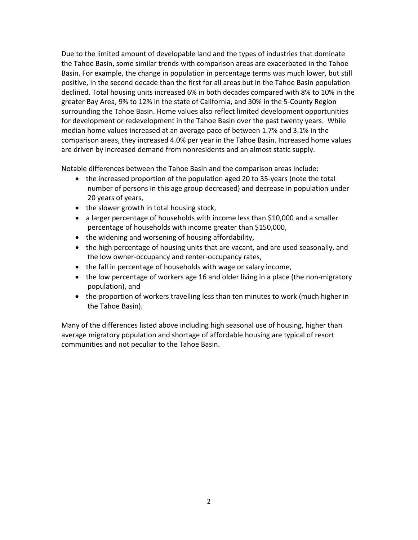Due to the limited amount of developable land and the types of industries that dominate the Tahoe Basin, some similar trends with comparison areas are exacerbated in the Tahoe Basin. For example, the change in population in percentage terms was much lower, but still positive, in the second decade than the first for all areas but in the Tahoe Basin population declined. Total housing units increased 6% in both decades compared with 8% to 10% in the greater Bay Area, 9% to 12% in the state of California, and 30% in the 5-County Region surrounding the Tahoe Basin. Home values also reflect limited development opportunities for development or redevelopment in the Tahoe Basin over the past twenty years. While median home values increased at an average pace of between 1.7% and 3.1% in the comparison areas, they increased 4.0% per year in the Tahoe Basin. Increased home values are driven by increased demand from nonresidents and an almost static supply.

Notable differences between the Tahoe Basin and the comparison areas include:

- the increased proportion of the population aged 20 to 35-years (note the total number of persons in this age group decreased) and decrease in population under 20 years of years,
- the slower growth in total housing stock,
- a larger percentage of households with income less than \$10,000 and a smaller percentage of households with income greater than \$150,000,
- the widening and worsening of housing affordability,
- the high percentage of housing units that are vacant, and are used seasonally, and the low owner-occupancy and renter-occupancy rates,
- the fall in percentage of households with wage or salary income,
- the low percentage of workers age 16 and older living in a place (the non-migratory population), and
- the proportion of workers travelling less than ten minutes to work (much higher in the Tahoe Basin).

Many of the differences listed above including high seasonal use of housing, higher than average migratory population and shortage of affordable housing are typical of resort communities and not peculiar to the Tahoe Basin.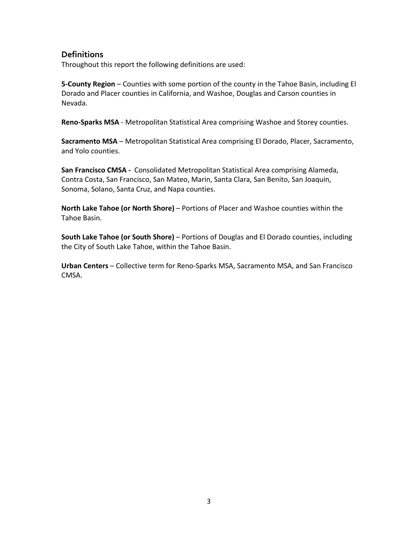## **Definitions**

Throughout this report the following definitions are used:

**5-County Region** – Counties with some portion of the county in the Tahoe Basin, including El Dorado and Placer counties in California, and Washoe, Douglas and Carson counties in Nevada.

**Reno-Sparks MSA** - Metropolitan Statistical Area comprising Washoe and Storey counties.

**Sacramento MSA** – Metropolitan Statistical Area comprising El Dorado, Placer, Sacramento, and Yolo counties.

**San Francisco CMSA -** Consolidated Metropolitan Statistical Area comprising Alameda, Contra Costa, San Francisco, San Mateo, Marin, Santa Clara, San Benito, San Joaquin, Sonoma, Solano, Santa Cruz, and Napa counties.

**North Lake Tahoe (or North Shore)** – Portions of Placer and Washoe counties within the Tahoe Basin.

**South Lake Tahoe (or South Shore)** – Portions of Douglas and El Dorado counties, including the City of South Lake Tahoe, within the Tahoe Basin.

**Urban Centers** – Collective term for Reno-Sparks MSA, Sacramento MSA, and San Francisco CMSA.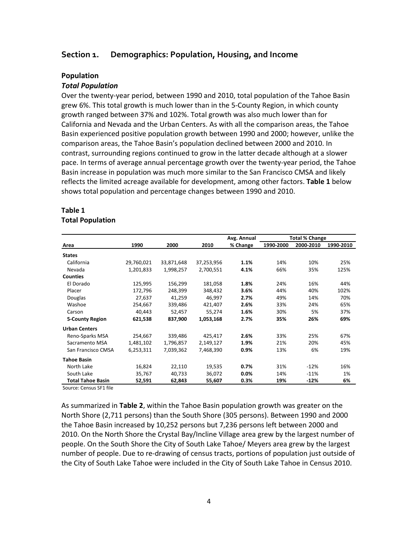#### **Section 1. Demographics: Population, Housing, and Income**

#### **Population**

#### *Total Population*

Over the twenty-year period, between 1990 and 2010, total population of the Tahoe Basin grew 6%. This total growth is much lower than in the 5-County Region, in which county growth ranged between 37% and 102%. Total growth was also much lower than for California and Nevada and the Urban Centers. As with all the comparison areas, the Tahoe Basin experienced positive population growth between 1990 and 2000; however, unlike the comparison areas, the Tahoe Basin's population declined between 2000 and 2010. In contrast, surrounding regions continued to grow in the latter decade although at a slower pace. In terms of average annual percentage growth over the twenty-year period, the Tahoe Basin increase in population was much more similar to the San Francisco CMSA and likely reflects the limited acreage available for development, among other factors. **Table 1** below shows total population and percentage changes between 1990 and 2010.

#### **Table 1 Total Population**

|                          |            |            |            | Avg. Annual |           | <b>Total % Change</b> |           |
|--------------------------|------------|------------|------------|-------------|-----------|-----------------------|-----------|
| Area                     | 1990       | 2000       | 2010       | % Change    | 1990-2000 | 2000-2010             | 1990-2010 |
| <b>States</b>            |            |            |            |             |           |                       |           |
| California               | 29,760,021 | 33,871,648 | 37,253,956 | 1.1%        | 14%       | 10%                   | 25%       |
| Nevada                   | 1,201,833  | 1,998,257  | 2,700,551  | 4.1%        | 66%       | 35%                   | 125%      |
| <b>Counties</b>          |            |            |            |             |           |                       |           |
| El Dorado                | 125,995    | 156,299    | 181,058    | 1.8%        | 24%       | 16%                   | 44%       |
| Placer                   | 172,796    | 248,399    | 348,432    | 3.6%        | 44%       | 40%                   | 102%      |
| Douglas                  | 27,637     | 41,259     | 46,997     | 2.7%        | 49%       | 14%                   | 70%       |
| Washoe                   | 254,667    | 339,486    | 421,407    | 2.6%        | 33%       | 24%                   | 65%       |
| Carson                   | 40,443     | 52,457     | 55,274     | 1.6%        | 30%       | 5%                    | 37%       |
| <b>5-County Region</b>   | 621,538    | 837,900    | 1,053,168  | 2.7%        | 35%       | 26%                   | 69%       |
| <b>Urban Centers</b>     |            |            |            |             |           |                       |           |
| Reno-Sparks MSA          | 254,667    | 339,486    | 425,417    | 2.6%        | 33%       | 25%                   | 67%       |
| Sacramento MSA           | 1,481,102  | 1,796,857  | 2,149,127  | 1.9%        | 21%       | 20%                   | 45%       |
| San Francisco CMSA       | 6,253,311  | 7,039,362  | 7,468,390  | 0.9%        | 13%       | 6%                    | 19%       |
| <b>Tahoe Basin</b>       |            |            |            |             |           |                       |           |
| North Lake               | 16,824     | 22,110     | 19,535     | 0.7%        | 31%       | $-12%$                | 16%       |
| South Lake               | 35,767     | 40,733     | 36,072     | 0.0%        | 14%       | $-11%$                | 1%        |
| <b>Total Tahoe Basin</b> | 52,591     | 62,843     | 55,607     | 0.3%        | 19%       | $-12%$                | 6%        |
|                          |            |            |            |             |           |                       |           |

Source: Census SF1 file

As summarized in **Table 2**, within the Tahoe Basin population growth was greater on the North Shore (2,711 persons) than the South Shore (305 persons). Between 1990 and 2000 the Tahoe Basin increased by 10,252 persons but 7,236 persons left between 2000 and 2010. On the North Shore the Crystal Bay/Incline Village area grew by the largest number of people. On the South Shore the City of South Lake Tahoe/ Meyers area grew by the largest number of people. Due to re-drawing of census tracts, portions of population just outside of the City of South Lake Tahoe were included in the City of South Lake Tahoe in Census 2010.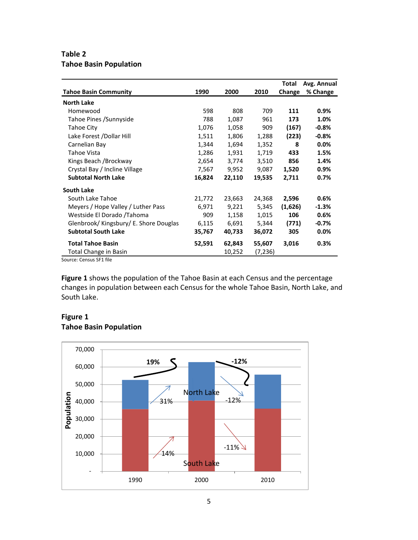## **Table 2 Tahoe Basin Population**

|                                        |        |        |         | Total   | Avg. Annual |
|----------------------------------------|--------|--------|---------|---------|-------------|
| <b>Tahoe Basin Community</b>           | 1990   | 2000   | 2010    | Change  | % Change    |
| <b>North Lake</b>                      |        |        |         |         |             |
| Homewood                               | 598    | 808    | 709     | 111     | $0.9\%$     |
| Tahoe Pines / Sunnyside                | 788    | 1,087  | 961     | 173     | 1.0%        |
| Tahoe City                             | 1,076  | 1,058  | 909     | (167)   | $-0.8\%$    |
| Lake Forest / Dollar Hill              | 1,511  | 1,806  | 1,288   | (223)   | $-0.8%$     |
| Carnelian Bay                          | 1,344  | 1,694  | 1,352   | 8       | $0.0\%$     |
| Tahoe Vista                            | 1,286  | 1,931  | 1,719   | 433     | 1.5%        |
| Kings Beach / Brockway                 | 2,654  | 3,774  | 3,510   | 856     | 1.4%        |
| Crystal Bay / Incline Village          | 7,567  | 9,952  | 9,087   | 1,520   | $0.9\%$     |
| <b>Subtotal North Lake</b>             | 16,824 | 22,110 | 19,535  | 2,711   | 0.7%        |
| <b>South Lake</b>                      |        |        |         |         |             |
| South Lake Tahoe                       | 21,772 | 23,663 | 24,368  | 2,596   | 0.6%        |
| Meyers / Hope Valley / Luther Pass     | 6,971  | 9,221  | 5,345   | (1,626) | $-1.3%$     |
| Westside El Dorado / Tahoma            | 909    | 1,158  | 1,015   | 106     | 0.6%        |
| Glenbrook/ Kingsbury/ E. Shore Douglas | 6,115  | 6,691  | 5,344   | (771)   | $-0.7\%$    |
| <b>Subtotal South Lake</b>             | 35,767 | 40,733 | 36,072  | 305     | $0.0\%$     |
| <b>Total Tahoe Basin</b>               | 52,591 | 62,843 | 55,607  | 3,016   | 0.3%        |
| Total Change in Basin                  |        | 10,252 | (7,236) |         |             |

Source: Census SF1 file

**Figure 1** shows the population of the Tahoe Basin at each Census and the percentage changes in population between each Census for the whole Tahoe Basin, North Lake, and South Lake.

## **Figure 1 Tahoe Basin Population**

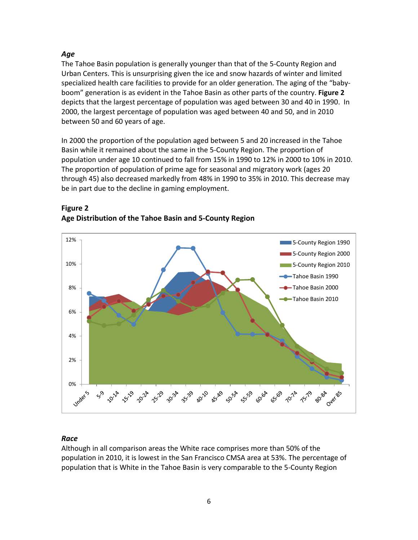## *Age*

The Tahoe Basin population is generally younger than that of the 5-County Region and Urban Centers. This is unsurprising given the ice and snow hazards of winter and limited specialized health care facilities to provide for an older generation. The aging of the "babyboom" generation is as evident in the Tahoe Basin as other parts of the country. **Figure 2** depicts that the largest percentage of population was aged between 30 and 40 in 1990. In 2000, the largest percentage of population was aged between 40 and 50, and in 2010 between 50 and 60 years of age.

In 2000 the proportion of the population aged between 5 and 20 increased in the Tahoe Basin while it remained about the same in the 5-County Region. The proportion of population under age 10 continued to fall from 15% in 1990 to 12% in 2000 to 10% in 2010. The proportion of population of prime age for seasonal and migratory work (ages 20 through 45) also decreased markedly from 48% in 1990 to 35% in 2010. This decrease may be in part due to the decline in gaming employment.



## **Figure 2 Age Distribution of the Tahoe Basin and 5-County Region**

## *Race*

Although in all comparison areas the White race comprises more than 50% of the population in 2010, it is lowest in the San Francisco CMSA area at 53%. The percentage of population that is White in the Tahoe Basin is very comparable to the 5-County Region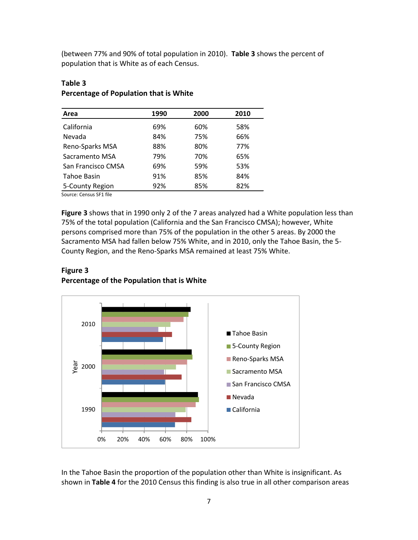(between 77% and 90% of total population in 2010). **Table 3** shows the percent of population that is White as of each Census.

| Area               | 1990 | 2000 | 2010 |
|--------------------|------|------|------|
| California         | 69%  | 60%  | 58%  |
| Nevada             | 84%  | 75%  | 66%  |
| Reno-Sparks MSA    | 88%  | 80%  | 77%  |
| Sacramento MSA     | 79%  | 70%  | 65%  |
| San Francisco CMSA | 69%  | 59%  | 53%  |
| Tahoe Basin        | 91%  | 85%  | 84%  |
| 5-County Region    | 92%  | 85%  | 82%  |

## **Table 3 Percentage of Population that is White**

Source: Census SF1 file

**Figure 3** shows that in 1990 only 2 of the 7 areas analyzed had a White population less than 75% of the total population (California and the San Francisco CMSA); however, White persons comprised more than 75% of the population in the other 5 areas. By 2000 the Sacramento MSA had fallen below 75% White, and in 2010, only the Tahoe Basin, the 5- County Region, and the Reno-Sparks MSA remained at least 75% White.

## **Figure 3 Percentage of the Population that is White**



In the Tahoe Basin the proportion of the population other than White is insignificant. As shown in **Table 4** for the 2010 Census this finding is also true in all other comparison areas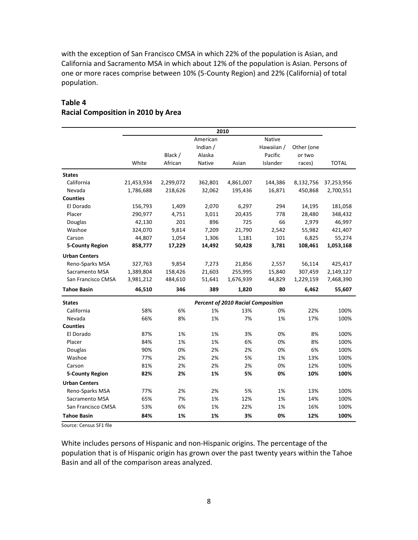with the exception of San Francisco CMSA in which 22% of the population is Asian, and California and Sacramento MSA in which about 12% of the population is Asian. Persons of one or more races comprise between 10% (5-County Region) and 22% (California) of total population.

## **Table 4 Racial Composition in 2010 by Area**

|                        |            |           |          | 2010                                      |            |            |              |
|------------------------|------------|-----------|----------|-------------------------------------------|------------|------------|--------------|
|                        |            |           | American |                                           | Native     |            |              |
|                        |            |           | Indian / |                                           | Hawaiian / | Other (one |              |
|                        |            | Black /   | Alaska   |                                           | Pacific    | or two     |              |
|                        | White      | African   | Native   | Asian                                     | Islander   | races)     | <b>TOTAL</b> |
| <b>States</b>          |            |           |          |                                           |            |            |              |
| California             | 21,453,934 | 2,299,072 | 362,801  | 4,861,007                                 | 144,386    | 8,132,756  | 37,253,956   |
| Nevada                 | 1,786,688  | 218,626   | 32,062   | 195,436                                   | 16,871     | 450,868    | 2,700,551    |
| <b>Counties</b>        |            |           |          |                                           |            |            |              |
| El Dorado              | 156,793    | 1,409     | 2,070    | 6,297                                     | 294        | 14,195     | 181,058      |
| Placer                 | 290,977    | 4,751     | 3,011    | 20,435                                    | 778        | 28,480     | 348,432      |
| Douglas                | 42,130     | 201       | 896      | 725                                       | 66         | 2,979      | 46,997       |
| Washoe                 | 324,070    | 9,814     | 7,209    | 21,790                                    | 2,542      | 55,982     | 421,407      |
| Carson                 | 44,807     | 1,054     | 1,306    | 1,181                                     | 101        | 6,825      | 55,274       |
| <b>5-County Region</b> | 858,777    | 17,229    | 14,492   | 50,428                                    | 3,781      | 108,461    | 1,053,168    |
| <b>Urban Centers</b>   |            |           |          |                                           |            |            |              |
| Reno-Sparks MSA        | 327,763    | 9,854     | 7,273    | 21,856                                    | 2,557      | 56,114     | 425,417      |
| Sacramento MSA         | 1,389,804  | 158,426   | 21,603   | 255,995                                   | 15,840     | 307,459    | 2,149,127    |
| San Francisco CMSA     | 3,981,212  | 484,610   | 51,641   | 1,676,939                                 | 44,829     | 1,229,159  | 7,468,390    |
| <b>Tahoe Basin</b>     | 46,510     | 346       | 389      | 1,820                                     | 80         | 6,462      | 55,607       |
| <b>States</b>          |            |           |          | <b>Percent of 2010 Racial Composition</b> |            |            |              |
| California             | 58%        | 6%        | 1%       | 13%                                       | 0%         | 22%        | 100%         |
| Nevada                 | 66%        | 8%        | 1%       | 7%                                        | 1%         | 17%        | 100%         |
| <b>Counties</b>        |            |           |          |                                           |            |            |              |
| El Dorado              | 87%        | 1%        | 1%       | 3%                                        | 0%         | 8%         | 100%         |
| Placer                 | 84%        | 1%        | 1%       | 6%                                        | 0%         | 8%         | 100%         |
| Douglas                | 90%        | 0%        | 2%       | 2%                                        | 0%         | 6%         | 100%         |
| Washoe                 | 77%        | 2%        | 2%       | 5%                                        | 1%         | 13%        | 100%         |
| Carson                 | 81%        | 2%        | 2%       | 2%                                        | 0%         | 12%        | 100%         |
| <b>5-County Region</b> | 82%        | 2%        | 1%       | 5%                                        | 0%         | 10%        | 100%         |
| <b>Urban Centers</b>   |            |           |          |                                           |            |            |              |
| Reno-Sparks MSA        | 77%        | 2%        | 2%       | 5%                                        | 1%         | 13%        | 100%         |
| Sacramento MSA         | 65%        | 7%        | 1%       | 12%                                       | 1%         | 14%        | 100%         |
| San Francisco CMSA     | 53%        | 6%        | 1%       | 22%                                       | 1%         | 16%        | 100%         |
| <b>Tahoe Basin</b>     | 84%        | 1%        | 1%       | 3%                                        | 0%         | 12%        | 100%         |

Source: Census SF1 file

White includes persons of Hispanic and non-Hispanic origins. The percentage of the population that is of Hispanic origin has grown over the past twenty years within the Tahoe Basin and all of the comparison areas analyzed.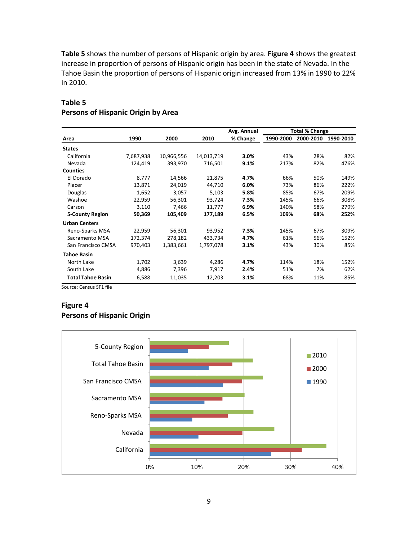**Table 5** shows the number of persons of Hispanic origin by area. **Figure 4** shows the greatest increase in proportion of persons of Hispanic origin has been in the state of Nevada. In the Tahoe Basin the proportion of persons of Hispanic origin increased from 13% in 1990 to 22% in 2010.

|                          |           |            |            | Avg. Annual |           | <b>Total % Change</b> |           |
|--------------------------|-----------|------------|------------|-------------|-----------|-----------------------|-----------|
| Area                     | 1990      | 2000       | 2010       | % Change    | 1990-2000 | 2000-2010             | 1990-2010 |
| <b>States</b>            |           |            |            |             |           |                       |           |
| California               | 7,687,938 | 10,966,556 | 14,013,719 | 3.0%        | 43%       | 28%                   | 82%       |
| Nevada                   | 124,419   | 393,970    | 716,501    | 9.1%        | 217%      | 82%                   | 476%      |
| <b>Counties</b>          |           |            |            |             |           |                       |           |
| El Dorado                | 8,777     | 14,566     | 21,875     | 4.7%        | 66%       | 50%                   | 149%      |
| Placer                   | 13,871    | 24,019     | 44,710     | 6.0%        | 73%       | 86%                   | 222%      |
| Douglas                  | 1,652     | 3,057      | 5,103      | 5.8%        | 85%       | 67%                   | 209%      |
| Washoe                   | 22,959    | 56,301     | 93,724     | 7.3%        | 145%      | 66%                   | 308%      |
| Carson                   | 3,110     | 7,466      | 11,777     | 6.9%        | 140%      | 58%                   | 279%      |
| <b>5-County Region</b>   | 50,369    | 105,409    | 177,189    | 6.5%        | 109%      | 68%                   | 252%      |
| <b>Urban Centers</b>     |           |            |            |             |           |                       |           |
| Reno-Sparks MSA          | 22,959    | 56,301     | 93,952     | 7.3%        | 145%      | 67%                   | 309%      |
| Sacramento MSA           | 172,374   | 278,182    | 433,734    | 4.7%        | 61%       | 56%                   | 152%      |
| San Francisco CMSA       | 970,403   | 1,383,661  | 1,797,078  | 3.1%        | 43%       | 30%                   | 85%       |
| <b>Tahoe Basin</b>       |           |            |            |             |           |                       |           |
| North Lake               | 1,702     | 3,639      | 4,286      | 4.7%        | 114%      | 18%                   | 152%      |
| South Lake               | 4,886     | 7,396      | 7,917      | 2.4%        | 51%       | 7%                    | 62%       |
| <b>Total Tahoe Basin</b> | 6,588     | 11,035     | 12,203     | 3.1%        | 68%       | 11%                   | 85%       |

## **Table 5 Persons of Hispanic Origin by Area**

Source: Census SF1 file

## **Figure 4 Persons of Hispanic Origin**

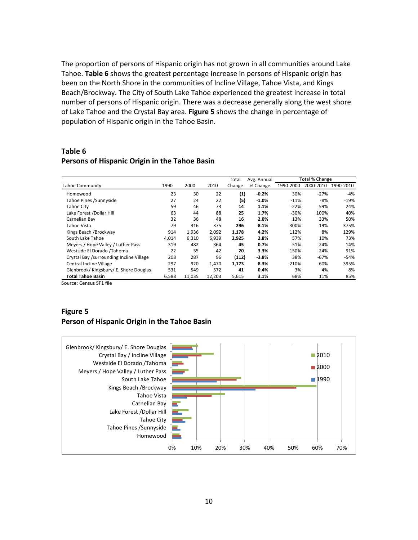The proportion of persons of Hispanic origin has not grown in all communities around Lake Tahoe. **Table 6** shows the greatest percentage increase in persons of Hispanic origin has been on the North Shore in the communities of Incline Village, Tahoe Vista, and Kings Beach/Brockway. The City of South Lake Tahoe experienced the greatest increase in total number of persons of Hispanic origin. There was a decrease generally along the west shore of Lake Tahoe and the Crystal Bay area. **Figure 5** shows the change in percentage of population of Hispanic origin in the Tahoe Basin.

#### **Table 6 Persons of Hispanic Origin in the Tahoe Basin**

|                                          |       |        |        | Total             | Avg. Annual |           | Total % Change |           |
|------------------------------------------|-------|--------|--------|-------------------|-------------|-----------|----------------|-----------|
| <b>Tahoe Community</b>                   | 1990  | 2000   | 2010   | Change            | % Change    | 1990-2000 | 2000-2010      | 1990-2010 |
| Homewood                                 | 23    | 30     | 22     | $\left( 1\right)$ | $-0.2%$     | 30%       | $-27%$         | -4%       |
| Tahoe Pines / Sunnyside                  | 27    | 24     | 22     | (5)               | $-1.0\%$    | $-11%$    | $-8%$          | $-19%$    |
| <b>Tahoe City</b>                        | 59    | 46     | 73     | 14                | 1.1%        | $-22%$    | 59%            | 24%       |
| Lake Forest /Dollar Hill                 | 63    | 44     | 88     | 25                | 1.7%        | $-30%$    | 100%           | 40%       |
| Carnelian Bay                            | 32    | 36     | 48     | 16                | 2.0%        | 13%       | 33%            | 50%       |
| Tahoe Vista                              | 79    | 316    | 375    | 296               | 8.1%        | 300%      | 19%            | 375%      |
| Kings Beach / Brockway                   | 914   | 1,936  | 2,092  | 1,178             | 4.2%        | 112%      | 8%             | 129%      |
| South Lake Tahoe                         | 4,014 | 6,310  | 6,939  | 2,925             | 2.8%        | 57%       | 10%            | 73%       |
| Meyers / Hope Valley / Luther Pass       | 319   | 482    | 364    | 45                | 0.7%        | 51%       | $-24%$         | 14%       |
| Westside El Dorado /Tahoma               | 22    | 55     | 42     | 20                | 3.3%        | 150%      | $-24%$         | 91%       |
| Crystal Bay /surrounding Incline Village | 208   | 287    | 96     | (112)             | $-3.8%$     | 38%       | $-67%$         | $-54%$    |
| Central Incline Village                  | 297   | 920    | 1,470  | 1,173             | 8.3%        | 210%      | 60%            | 395%      |
| Glenbrook/Kingsbury/E. Shore Douglas     | 531   | 549    | 572    | 41                | 0.4%        | 3%        | 4%             | 8%        |
| Total Tahoe Basin                        | 6,588 | 11.035 | 12,203 | 5,615             | 3.1%        | 68%       | 11%            | 85%       |

Source: Census SF1 file

## **Figure 5 Person of Hispanic Origin in the Tahoe Basin**

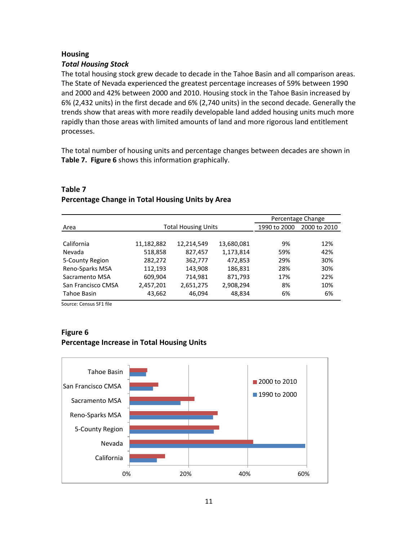## **Housing**

#### *Total Housing Stock*

The total housing stock grew decade to decade in the Tahoe Basin and all comparison areas. The State of Nevada experienced the greatest percentage increases of 59% between 1990 and 2000 and 42% between 2000 and 2010. Housing stock in the Tahoe Basin increased by 6% (2,432 units) in the first decade and 6% (2,740 units) in the second decade. Generally the trends show that areas with more readily developable land added housing units much more rapidly than those areas with limited amounts of land and more rigorous land entitlement processes.

The total number of housing units and percentage changes between decades are shown in **Table 7. Figure 6** shows this information graphically.

|                    |            |                            |            |              | Percentage Change |
|--------------------|------------|----------------------------|------------|--------------|-------------------|
| Area               |            | <b>Total Housing Units</b> |            | 1990 to 2000 | 2000 to 2010      |
|                    |            |                            |            |              |                   |
| California         | 11,182,882 | 12,214,549                 | 13,680,081 | 9%           | 12%               |
| Nevada             | 518,858    | 827,457                    | 1,173,814  | 59%          | 42%               |
| 5-County Region    | 282,272    | 362,777                    | 472,853    | 29%          | 30%               |
| Reno-Sparks MSA    | 112,193    | 143,908                    | 186,831    | 28%          | 30%               |
| Sacramento MSA     | 609,904    | 714,981                    | 871,793    | 17%          | 22%               |
| San Francisco CMSA | 2,457,201  | 2,651,275                  | 2,908,294  | 8%           | 10%               |
| Tahoe Basin        | 43,662     | 46,094                     | 48,834     | 6%           | 6%                |

## **Table 7 Percentage Change in Total Housing Units by Area**

Source: Census SF1 file

#### **Figure 6 Percentage Increase in Total Housing Units**

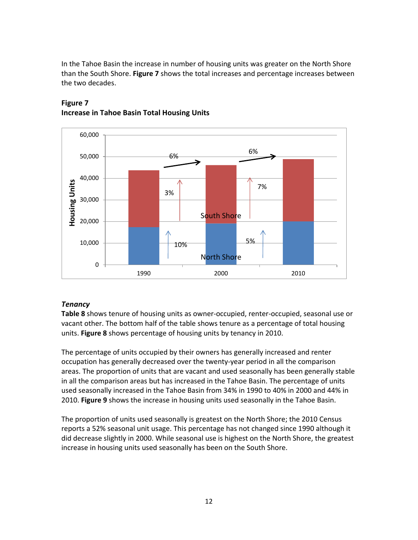In the Tahoe Basin the increase in number of housing units was greater on the North Shore than the South Shore. **Figure 7** shows the total increases and percentage increases between the two decades.



## **Figure 7 Increase in Tahoe Basin Total Housing Units**

## *Tenancy*

**Table 8** shows tenure of housing units as owner-occupied, renter-occupied, seasonal use or vacant other. The bottom half of the table shows tenure as a percentage of total housing units. **Figure 8** shows percentage of housing units by tenancy in 2010.

The percentage of units occupied by their owners has generally increased and renter occupation has generally decreased over the twenty-year period in all the comparison areas. The proportion of units that are vacant and used seasonally has been generally stable in all the comparison areas but has increased in the Tahoe Basin. The percentage of units used seasonally increased in the Tahoe Basin from 34% in 1990 to 40% in 2000 and 44% in 2010. **Figure 9** shows the increase in housing units used seasonally in the Tahoe Basin.

The proportion of units used seasonally is greatest on the North Shore; the 2010 Census reports a 52% seasonal unit usage. This percentage has not changed since 1990 although it did decrease slightly in 2000. While seasonal use is highest on the North Shore, the greatest increase in housing units used seasonally has been on the South Shore.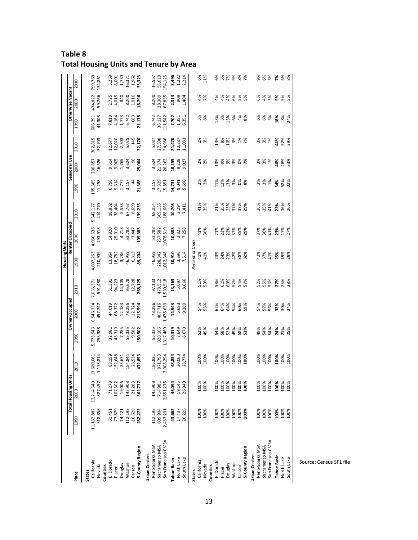| Table 8                                       |  |
|-----------------------------------------------|--|
| <b>Total Housing Units and Tenure by Area</b> |  |

|                      |                  |                            |                      |                                   |                                              |                                    | Housing Units                                            |                                                                                        |                                                         |                                 |                                   |                                             |                        |                                 |                                            |
|----------------------|------------------|----------------------------|----------------------|-----------------------------------|----------------------------------------------|------------------------------------|----------------------------------------------------------|----------------------------------------------------------------------------------------|---------------------------------------------------------|---------------------------------|-----------------------------------|---------------------------------------------|------------------------|---------------------------------|--------------------------------------------|
|                      |                  | <b>Total Housing Units</b> |                      |                                   | Owner-Occupied                               |                                    |                                                          | Renter Occupied                                                                        |                                                         |                                 | Seasonal Use                      |                                             |                        | <b>Otherwise Vacant</b>         |                                            |
| Place                | 1990             | 2000                       | 2010                 | 1990                              | 2000                                         | 2010                               | 1990                                                     | 2000                                                                                   | 2010                                                    | 1990                            | 2000                              | 2010                                        | 1990                   | 2000                            | 2010                                       |
| <b>States</b>        |                  |                            |                      |                                   |                                              |                                    |                                                          |                                                                                        |                                                         |                                 |                                   |                                             |                        |                                 |                                            |
| California           | 11,182,882       | 12,214,549                 | 13,680,081           |                                   | 6,546,334                                    | 7,035,371                          | 4,607,263                                                | 4,956,536                                                                              | 5,542,127                                               |                                 | 236,857                           | 302,815                                     |                        |                                 |                                            |
| Nevada<br>Counties   | 518,858          | 827,457                    | 1,173,814            | 5,773,943<br>255,388              | 457,247                                      | 591,480                            | 210,909                                                  | 293,918                                                                                | 414,770                                                 | 195,385<br>11,258               | 16,526                            | 32,703                                      | 606,291<br>41,303      | 474,822<br>59,766               | 799,768<br>134,861                         |
| El Dorado            |                  | 71,278                     |                      |                                   |                                              |                                    |                                                          |                                                                                        |                                                         |                                 |                                   |                                             | 7,810                  |                                 |                                            |
| Placer               | 61,451<br>77,879 | 107,302                    | 88,159<br>152,648    |                                   | 44,019<br>68,372                             | 51,391<br>94,223                   |                                                          |                                                                                        |                                                         |                                 |                                   |                                             | 4,164                  | 2,725<br>4,015                  |                                            |
| Douglas              | 14,121           | 19,006                     | 23,671               | 32,981<br>45,319<br>7,285         |                                              | 14,105                             | $\begin{array}{c} 13,864 \\ 18,782 \\ 3,286 \end{array}$ |                                                                                        |                                                         |                                 |                                   |                                             | 1,773                  | 84C                             |                                            |
| Washoe               | 112,193          | 143,908                    | 184,841              |                                   |                                              |                                    |                                                          |                                                                                        |                                                         | 6,796<br>1777<br>6,157<br>6,157 | 9.614<br>9.905<br>9.7624<br>9.624 |                                             | 6,742                  |                                 |                                            |
| Carson               | 16,628           | 21,283                     | 23,534               | 55,335<br>9,582<br><b>LS0,502</b> | $\frac{12,183}{78,296}$<br>78,296<br>115,594 | 95,678<br>12,728<br><b>268,125</b> | 46,959<br>6,313<br><b>89,204</b>                         | $\begin{array}{c} 14,920 \\ 25,010 \\ 4,218 \\ 53,788 \\ 7,447 \\ 7,60 \\ \end{array}$ | 18,832<br>38,404<br>5,533<br>67,769<br>8, <b>89,235</b> | $\ddot{a}$                      |                                   | 12,677<br>12,020<br>2,303<br>5,025<br>5,145 | 689                    | 8,200<br>1,016<br><b>16,796</b> | 5,259<br>8,001<br>8,730<br>8,371<br>9,9323 |
| 5-County Region      | 282,272          | 362,777                    | 472,853              |                                   |                                              |                                    |                                                          |                                                                                        |                                                         | 21,388                          | 96<br>25,004                      | 32,170                                      | 21,178                 |                                 |                                            |
| Urban Centers        |                  |                            |                      |                                   |                                              |                                    |                                                          |                                                                                        |                                                         |                                 |                                   |                                             |                        |                                 |                                            |
| Reno-Sparks MSA      | 112,193          | 143,908                    | 186,831              | 55,335                            | 78,296                                       | 97,133                             | 46,959                                                   | 53,788<br>257,582                                                                      | 68,054                                                  | 3,157<br>17,329                 |                                   |                                             | 6,742                  |                                 | 16,557                                     |
| Sacramento MSA       | 609,904          | 714,981                    | 871,793              | 328,106                           | 407,716                                      | 478,512                            | 228,342                                                  |                                                                                        | 309,155                                                 |                                 | 3,624<br>21,374<br>26,262         | 5,087<br>27,508<br>34,986                   | 36,127                 | 8,200<br>28,309<br>67,855       | 56,618                                     |
| San Francisco CMSA   | 2,457,201        | 2,651,275                  | 2,908,294            | ,317,460                          | 478,639                                      | 530,518                            | 1,012,348                                                | 1,078,519                                                                              | ,188,665                                                | 15,851                          |                                   |                                             | 11,542                 |                                 | 154,125                                    |
| <b>Tahoe Basin</b>   | 43,662           | 46,094                     |                      | 10,319                            | 14,943                                       | 13,163                             | 10,910                                                   | 10,583                                                                                 | 10,705                                                  | 14,731                          |                                   |                                             | 7,702                  | 2,313                           |                                            |
| North Lake           | 17,437           | 19,145                     | 48,834<br>20,060     | 3,649                             | 5,683                                        | 5,097                              | 3,396                                                    |                                                                                        | 3,294                                                   | 9,041                           | 18,255<br>9,228<br>9,027          | <b>21,470</b><br>10,387<br>11,083           | 1,351                  | 909                             | <b>3,496</b><br>1,282<br>2,214             |
| South Lake           | 26,225           | 26,949                     | 28,774               | 6,670                             | 9,260                                        | 8,066                              | 7,514                                                    | 3,325<br>7,258                                                                         | 7,411                                                   | 5,690                           |                                   |                                             | 6,351                  | 1,404                           |                                            |
| <b>States</b>        |                  |                            |                      |                                   |                                              |                                    | Percent of Units                                         |                                                                                        |                                                         |                                 |                                   |                                             |                        |                                 |                                            |
| California           | 100%             | 100%                       | 100%                 | 52%                               |                                              | 51%                                | 41%                                                      | 41%                                                                                    | 41%                                                     | 2%<br>2%                        | 2%<br>2%                          | 2%<br>3%                                    |                        | 4%                              | 6%                                         |
| Nevada               | 100%             | 100%                       | 100%                 | 49%                               | 54%<br>55%                                   | 50%                                | 41%                                                      | 36%                                                                                    | 35%                                                     |                                 |                                   |                                             | 5%<br>8%               | 7%                              | 11%                                        |
| Counties             |                  |                            |                      |                                   |                                              |                                    |                                                          |                                                                                        |                                                         |                                 |                                   |                                             |                        |                                 |                                            |
| El Dorado            | 100%             | 100%                       | 100%<br>100%<br>100% | 54%                               | 62%                                          | 58%                                | 23<br>23<br>23<br>23<br>24                               | $73888888$<br>$73777798$                                                               | 22%%%%%<br>22%%%%%                                      | <b>x</b><br>12388               | 13%                               |                                             |                        | 4%                              |                                            |
| Placer               | 100%             | 100%                       |                      |                                   |                                              |                                    |                                                          |                                                                                        |                                                         |                                 |                                   |                                             |                        |                                 |                                            |
| Douglas              | 100%             | 100%                       |                      | 8%<br>52%<br>49%                  | 8<br>8<br>8<br>8<br>8<br>8<br>8<br>8         | 62%<br>60%<br>52%                  |                                                          |                                                                                        |                                                         |                                 | 88888                             |                                             |                        | * * * * *                       |                                            |
| Washoe               | 100%             | 100%                       | 100%                 |                                   |                                              |                                    |                                                          |                                                                                        |                                                         |                                 |                                   |                                             |                        |                                 |                                            |
| Carson               | 100%             | 100%                       | 100%                 | 58%<br>53%                        | 60%                                          | 54%<br>57%                         | $38%$<br>32%                                             |                                                                                        |                                                         | 8 %                             |                                   |                                             | 4%                     |                                 |                                            |
| 5-County Region      | 100%             | 100%                       | 100%                 |                                   | 59%                                          |                                    |                                                          |                                                                                        |                                                         |                                 |                                   |                                             | జ                      |                                 |                                            |
| <b>Urban Centers</b> |                  |                            |                      |                                   |                                              |                                    |                                                          |                                                                                        |                                                         |                                 |                                   |                                             |                        |                                 |                                            |
| Reno-Sparks MSA      | 100%             | 100%                       | 100%                 | 49%                               |                                              |                                    |                                                          |                                                                                        |                                                         |                                 |                                   |                                             | 6%                     |                                 |                                            |
| Sacramento MSA       | 100%             | 100%                       | 100%                 | 54%                               | 54%<br>57%<br>56%                            | 52%<br>55%<br>53%                  | 8<br>8<br>8<br>8<br>8<br>8<br>8<br>8                     | 37%<br>36%<br>41%                                                                      | 36%<br>35%<br>41%                                       | 3%<br>3%<br>1%                  | 3%<br>3%<br>1%                    | * * *<br>3 * *                              | 6%<br>5%               |                                 | <b>3 8 8</b>                               |
| San Francisco CMSA   | 100%             | 100%                       | 100%                 | 54%                               |                                              |                                    |                                                          |                                                                                        |                                                         |                                 |                                   |                                             |                        |                                 |                                            |
| <b>Tahoe Basin</b>   | 100%             | 100%                       | 100%                 | 24%                               | 32%<br>30%<br>34%                            | <b>27%</b><br>25%<br>28%           | $25%$<br>$29%$                                           | <b>23%</b><br>17%<br>27%                                                               | <b>22%</b><br>16%<br>26%                                | 34%                             | 40%                               |                                             | <b>8%</b><br>8%<br>24% | <b>5% %</b>                     | 7888                                       |
| North Lake           | 100%             | 100%                       | 100%<br>100%         | 21%<br>25%                        |                                              |                                    |                                                          |                                                                                        |                                                         | 52%<br>22%                      | 48%<br>33%                        | $488$<br>52%                                |                        |                                 |                                            |
| South Lake           | 100%             | 100%                       |                      |                                   |                                              |                                    |                                                          |                                                                                        |                                                         |                                 |                                   |                                             |                        |                                 |                                            |

Source: Census SF1 file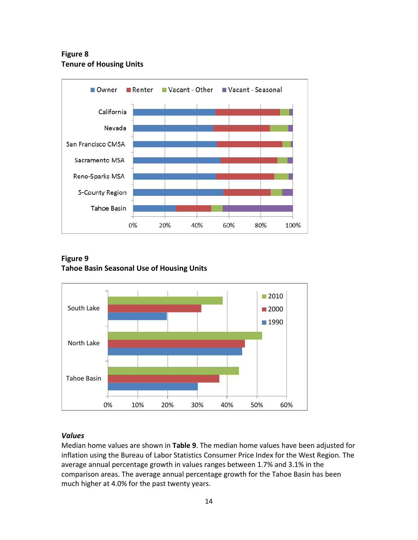**Figure 8 Tenure of Housing Units**



**Figure 9 Tahoe Basin Seasonal Use of Housing Units**



## *Values*

Median home values are shown in **Table 9**. The median home values have been adjusted for inflation using the Bureau of Labor Statistics Consumer Price Index for the West Region. The average annual percentage growth in values ranges between 1.7% and 3.1% in the comparison areas. The average annual percentage growth for the Tahoe Basin has been much higher at 4.0% for the past twenty years.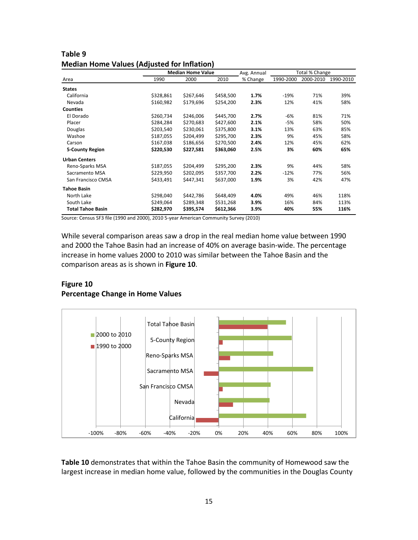|                          |           | <b>Median Home Value</b> |           | Avg. Annual | Total % Change |           |           |
|--------------------------|-----------|--------------------------|-----------|-------------|----------------|-----------|-----------|
| Area                     | 1990      | 2000                     | 2010      | % Change    | 1990-2000      | 2000-2010 | 1990-2010 |
| <b>States</b>            |           |                          |           |             |                |           |           |
| California               | \$328,861 | \$267,646                | \$458,500 | 1.7%        | $-19%$         | 71%       | 39%       |
| Nevada                   | \$160,982 | \$179,696                | \$254,200 | 2.3%        | 12%            | 41%       | 58%       |
| <b>Counties</b>          |           |                          |           |             |                |           |           |
| El Dorado                | \$260,734 | \$246,006                | \$445,700 | 2.7%        | $-6%$          | 81%       | 71%       |
| Placer                   | \$284,284 | \$270,683                | \$427,600 | 2.1%        | $-5%$          | 58%       | 50%       |
| <b>Douglas</b>           | \$203,540 | \$230,061                | \$375,800 | 3.1%        | 13%            | 63%       | 85%       |
| Washoe                   | \$187,055 | \$204,499                | \$295,700 | 2.3%        | 9%             | 45%       | 58%       |
| Carson                   | \$167,038 | \$186,656                | \$270,500 | 2.4%        | 12%            | 45%       | 62%       |
| 5-County Region          | \$220,530 | \$227,581                | \$363,060 | 2.5%        | 3%             | 60%       | 65%       |
| <b>Urban Centers</b>     |           |                          |           |             |                |           |           |
| Reno-Sparks MSA          | \$187,055 | \$204,499                | \$295,200 | 2.3%        | 9%             | 44%       | 58%       |
| Sacramento MSA           | \$229,950 | \$202,095                | \$357,700 | 2.2%        | $-12%$         | 77%       | 56%       |
| San Francisco CMSA       | \$433,491 | \$447,341                | \$637,000 | 1.9%        | 3%             | 42%       | 47%       |
| <b>Tahoe Basin</b>       |           |                          |           |             |                |           |           |
| North Lake               | \$298,040 | \$442,786                | \$648,409 | 4.0%        | 49%            | 46%       | 118%      |
| South Lake               | \$249,064 | \$289,348                | \$531,268 | 3.9%        | 16%            | 84%       | 113%      |
| <b>Total Tahoe Basin</b> | \$282,970 | \$395,574                | \$612,366 | 3.9%        | 40%            | 55%       | 116%      |

| Table 9                                            |
|----------------------------------------------------|
| <b>Median Home Values (Adjusted for Inflation)</b> |

Source: Census SF3 file (1990 and 2000), 2010 5-year American Community Survey (2010)

While several comparison areas saw a drop in the real median home value between 1990 and 2000 the Tahoe Basin had an increase of 40% on average basin-wide. The percentage increase in home values 2000 to 2010 was similar between the Tahoe Basin and the comparison areas as is shown in **Figure 10**.

## **Figure 10 Percentage Change in Home Values**



**Table 10** demonstrates that within the Tahoe Basin the community of Homewood saw the largest increase in median home value, followed by the communities in the Douglas County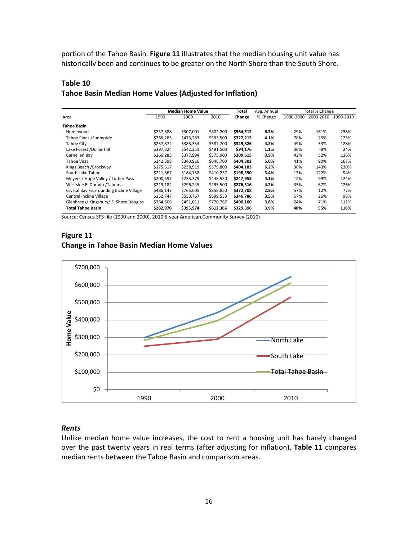portion of the Tahoe Basin. **Figure 11** illustrates that the median housing unit value has historically been and continues to be greater on the North Shore than the South Shore.

## **Table 10 Tahoe Basin Median Home Values (Adjusted for Inflation)**

|                                          | <b>Median Home Value</b> |           | Total     | Total % Change<br>Avg. Annual |          |           |           |           |
|------------------------------------------|--------------------------|-----------|-----------|-------------------------------|----------|-----------|-----------|-----------|
| Area                                     | 1990                     | 2000      | 2010      | Change                        | % Change | 1990-2000 | 2000-2010 | 1990-2010 |
| <b>Tahoe Basin</b>                       |                          |           |           |                               |          |           |           |           |
| Homewood                                 | \$237,688                | \$307,001 | \$802,200 | \$564,512                     | 6.3%     | 29%       | 161%      | 238%      |
| Tahoe Pines / Sunnyside                  | \$266,285                | \$473,283 | \$593,500 | \$327,215                     | 4.1%     | 78%       | 25%       | 123%      |
| Tahoe City                               | \$257,874                | \$385,334 | \$587,700 | \$329,826                     | 4.2%     | 49%       | 53%       | 128%      |
| Lake Forest /Dollar Hill                 | \$397,324                | \$542,251 | \$491,500 | \$94,176                      | 1.1%     | 36%       | $-9%$     | 24%       |
| Carnelian Bay                            | \$266,285                | \$377,994 | \$575,900 | \$309,615                     | 3.9%     | 42%       | 52%       | 116%      |
| Tahoe Vista                              | \$242,398                | \$340,916 | \$646,700 | \$404,302                     | 5.0%     | 41%       | 90%       | 167%      |
| Kings Beach /Brockway                    | \$175,617                | \$238,919 | \$579.800 | \$404,183                     | 6.2%     | 36%       | 143%      | 230%      |
| South Lake Tahoe                         | \$211,867                | \$184,758 | \$410,257 | \$198,390                     | 3.4%     | $-13%$    | 122%      | 94%       |
| Meyers / Hope Valley / Luther Pass       | \$200,597                | \$225,379 | \$448,550 | \$247,953                     | 4.1%     | 12%       | 99%       | 124%      |
| Westside El Dorado /Tahoma               | \$219,184                | \$296,245 | \$495,500 | \$276,316                     | 4.2%     | 35%       | 67%       | 126%      |
| Crystal Bay /surrounding Incline Village | \$486,142                | \$765,605 | \$858,850 | \$372,708                     | 2.9%     | 57%       | 12%       | 77%       |
| Central Incline Village                  | \$352,747                | \$553,767 | \$699,533 | \$346,786                     | 3.5%     | 57%       | 26%       | 98%       |
| Glenbrook/ Kingsbury/ E. Shore Douglas   | \$364,606                | \$451,011 | \$770,767 | \$406,160                     | 3.8%     | 24%       | 71%       | 111%      |
| <b>Total Tahoe Basin</b>                 | \$282,970                | \$395,574 | \$612,366 | \$329,396                     | 3.9%     | 40%       | 55%       | 116%      |

Source: Census SF3 file (1990 and 2000), 2010 5-year American Community Survey (2010)

## **Figure 11 Change in Tahoe Basin Median Home Values**



#### *Rents*

Unlike median home value increases, the cost to rent a housing unit has barely changed over the past twenty years in real terms (after adjusting for inflation). **Table 11** compares median rents between the Tahoe Basin and comparison areas.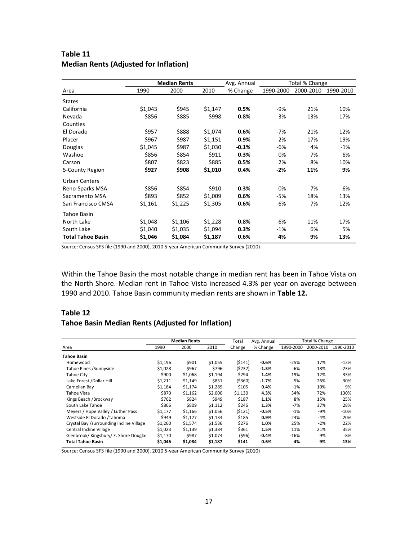|                          |         | <b>Median Rents</b> |         | Avg. Annual | Total % Change |           |           |
|--------------------------|---------|---------------------|---------|-------------|----------------|-----------|-----------|
| Area                     | 1990    | 2000                | 2010    | % Change    | 1990-2000      | 2000-2010 | 1990-2010 |
| <b>States</b>            |         |                     |         |             |                |           |           |
| California               | \$1,043 | \$945               | \$1,147 | 0.5%        | $-9%$          | 21%       | 10%       |
| Nevada                   | \$856   | \$885               | \$998   | 0.8%        | 3%             | 13%       | 17%       |
| Counties                 |         |                     |         |             |                |           |           |
| El Dorado                | \$957   | \$888               | \$1,074 | 0.6%        | $-7%$          | 21%       | 12%       |
| Placer                   | \$967   | \$987               | \$1,151 | 0.9%        | 2%             | 17%       | 19%       |
| Douglas                  | \$1,045 | \$987               | \$1,030 | $-0.1%$     | $-6%$          | 4%        | $-1%$     |
| Washoe                   | \$856   | \$854               | \$911   | 0.3%        | 0%             | 7%        | 6%        |
| Carson                   | \$807   | \$823               | \$885   | 0.5%        | 2%             | 8%        | 10%       |
| 5-County Region          | \$927   | \$908               | \$1,010 | 0.4%        | $-2%$          | 11%       | 9%        |
| <b>Urban Centers</b>     |         |                     |         |             |                |           |           |
| Reno-Sparks MSA          | \$856   | \$854               | \$910   | 0.3%        | 0%             | 7%        | 6%        |
| Sacramento MSA           | \$893   | \$852               | \$1,009 | 0.6%        | $-5%$          | 18%       | 13%       |
| San Francisco CMSA       | \$1,161 | \$1,225             | \$1,305 | 0.6%        | 6%             | 7%        | 12%       |
| Tahoe Basin              |         |                     |         |             |                |           |           |
| North Lake               | \$1,048 | \$1,106             | \$1,228 | 0.8%        | 6%             | 11%       | 17%       |
| South Lake               | \$1,040 | \$1,035             | \$1,094 | 0.3%        | $-1%$          | 6%        | 5%        |
| <b>Total Tahoe Basin</b> | \$1,046 | \$1,084             | \$1,187 | 0.6%        | 4%             | 9%        | 13%       |

## **Table 11 Median Rents (Adjusted for Inflation)**

Source: Census SF3 file (1990 and 2000), 2010 5-year American Community Survey (2010)

Within the Tahoe Basin the most notable change in median rent has been in Tahoe Vista on the North Shore. Median rent in Tahoe Vista increased 4.3% per year on average between 1990 and 2010. Tahoe Basin community median rents are shown in **Table 12.**

## **Table 12**

#### **Tahoe Basin Median Rents (Adjusted for Inflation)**

|                                          |         | <b>Median Rents</b> |         | Total    | Avg. Annual |           | Total % Change |           |
|------------------------------------------|---------|---------------------|---------|----------|-------------|-----------|----------------|-----------|
| Area                                     | 1990    | 2000                | 2010    | Change   | % Change    | 1990-2000 | 2000-2010      | 1990-2010 |
| Tahoe Basin                              |         |                     |         |          |             |           |                |           |
| Homewood                                 | \$1,196 | \$901               | \$1,055 | (\$141)  | $-0.6%$     | $-25%$    | 17%            | $-12%$    |
| Tahoe Pines / Sunnyside                  | \$1,028 | \$967               | \$796   | (\$232)  | $-1.3%$     | $-6%$     | $-18%$         | $-23%$    |
| Tahoe City                               | \$900   | \$1,068             | \$1,194 | \$294    | 1.4%        | 19%       | 12%            | 33%       |
| Lake Forest /Dollar Hill                 | \$1,211 | \$1,149             | \$851   | ( \$360) | $-1.7%$     | $-5%$     | $-26%$         | $-30%$    |
| Carnelian Bay                            | \$1.184 | \$1,174             | \$1,289 | \$105    | 0.4%        | $-1%$     | 10%            | 9%        |
| Tahoe Vista                              | \$870   | \$1.162             | \$2,000 | \$1,130  | 4.3%        | 34%       | 72%            | 130%      |
| Kings Beach / Brockway                   | \$762   | \$824               | \$949   | \$187    | 1.1%        | 8%        | 15%            | 25%       |
| South Lake Tahoe                         | \$866   | \$809               | \$1,112 | \$246    | 1.3%        | $-7%$     | 37%            | 28%       |
| Meyers / Hope Valley / Luther Pass       | \$1,177 | \$1,166             | \$1,056 | (5121)   | $-0.5%$     | $-1%$     | $-9%$          | $-10%$    |
| Westside El Dorado / Tahoma              | \$949   | \$1,177             | \$1,134 | \$185    | 0.9%        | 24%       | -4%            | 20%       |
| Crystal Bay /surrounding Incline Village | \$1,260 | \$1,574             | \$1,536 | \$276    | 1.0%        | 25%       | $-2%$          | 22%       |
| Central Incline Village                  | \$1,023 | \$1,139             | \$1,384 | \$361    | 1.5%        | 11%       | 21%            | 35%       |
| Glenbrook/ Kingsbury/ E. Shore Dougla:   | \$1,170 | \$987               | \$1,074 | (596)    | $-0.4%$     | $-16%$    | 9%             | -8%       |
| Total Tahoe Basin                        | \$1,046 | \$1,084             | \$1,187 | \$141    | 0.6%        | 4%        | 9%             | 13%       |

Source: Census SF3 file (1990 and 2000), 2010 5-year American Community Survey (2010)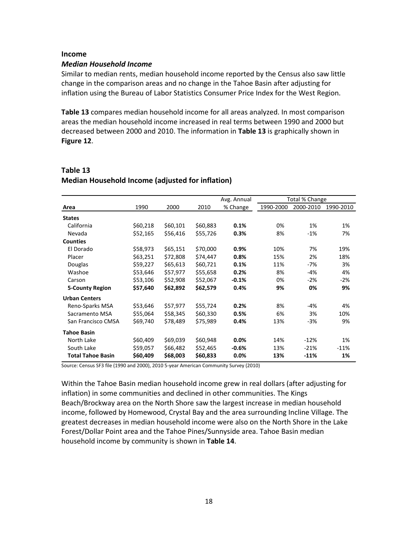#### **Income**

#### *Median Household Income*

Similar to median rents, median household income reported by the Census also saw little change in the comparison areas and no change in the Tahoe Basin after adjusting for inflation using the Bureau of Labor Statistics Consumer Price Index for the West Region.

**Table 13** compares median household income for all areas analyzed. In most comparison areas the median household income increased in real terms between 1990 and 2000 but decreased between 2000 and 2010. The information in **Table 13** is graphically shown in **Figure 12**.

## **Table 13 Median Household Income (adjusted for inflation)**

|                          |          |          |          | Avg. Annual |           | Total % Change |           |
|--------------------------|----------|----------|----------|-------------|-----------|----------------|-----------|
| Area                     | 1990     | 2000     | 2010     | % Change    | 1990-2000 | 2000-2010      | 1990-2010 |
| <b>States</b>            |          |          |          |             |           |                |           |
| California               | \$60,218 | \$60,101 | \$60,883 | 0.1%        | 0%        | 1%             | 1%        |
| Nevada                   | \$52,165 | \$56,416 | \$55,726 | 0.3%        | 8%        | $-1%$          | 7%        |
| <b>Counties</b>          |          |          |          |             |           |                |           |
| El Dorado                | \$58,973 | \$65,151 | \$70,000 | 0.9%        | 10%       | 7%             | 19%       |
| Placer                   | \$63,251 | \$72,808 | \$74,447 | 0.8%        | 15%       | 2%             | 18%       |
| Douglas                  | \$59,227 | \$65,613 | \$60,721 | 0.1%        | 11%       | $-7%$          | 3%        |
| Washoe                   | \$53,646 | \$57,977 | \$55,658 | 0.2%        | 8%        | $-4%$          | 4%        |
| Carson                   | \$53,106 | \$52,908 | \$52,067 | $-0.1%$     | 0%        | $-2%$          | $-2%$     |
| <b>5-County Region</b>   | \$57,640 | \$62,892 | \$62,579 | 0.4%        | 9%        | 0%             | 9%        |
| <b>Urban Centers</b>     |          |          |          |             |           |                |           |
| Reno-Sparks MSA          | \$53,646 | \$57,977 | \$55,724 | 0.2%        | 8%        | $-4%$          | 4%        |
| Sacramento MSA           | \$55,064 | \$58,345 | \$60,330 | 0.5%        | 6%        | 3%             | 10%       |
| San Francisco CMSA       | \$69,740 | \$78,489 | \$75,989 | 0.4%        | 13%       | $-3%$          | 9%        |
| <b>Tahoe Basin</b>       |          |          |          |             |           |                |           |
| North Lake               | \$60,409 | \$69,039 | \$60,948 | 0.0%        | 14%       | $-12%$         | 1%        |
| South Lake               | \$59,057 | \$66,482 | \$52,465 | $-0.6%$     | 13%       | $-21%$         | $-11%$    |
| <b>Total Tahoe Basin</b> | \$60,409 | \$68,003 | \$60,833 | 0.0%        | 13%       | $-11%$         | 1%        |

Source: Census SF3 file (1990 and 2000), 2010 5-year American Community Survey (2010)

Within the Tahoe Basin median household income grew in real dollars (after adjusting for inflation) in some communities and declined in other communities. The Kings Beach/Brockway area on the North Shore saw the largest increase in median household income, followed by Homewood, Crystal Bay and the area surrounding Incline Village. The greatest decreases in median household income were also on the North Shore in the Lake Forest/Dollar Point area and the Tahoe Pines/Sunnyside area. Tahoe Basin median household income by community is shown in **Table 14**.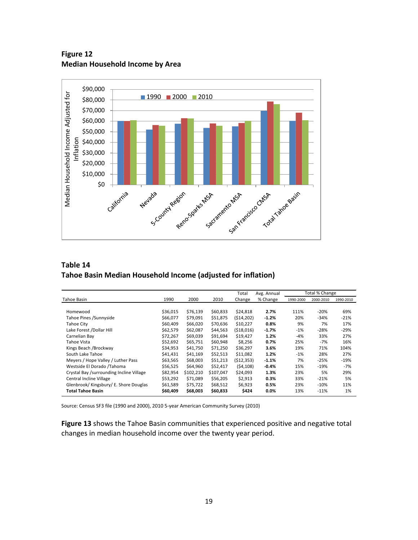**Figure 12 Median Household Income by Area**



## **Table 14 Tahoe Basin Median Household Income (adjusted for inflation)**

|                                          |          |           |           | Total      | Avg. Annual |           | Total % Change |           |
|------------------------------------------|----------|-----------|-----------|------------|-------------|-----------|----------------|-----------|
| Tahoe Basin                              | 1990     | 2000      | 2010      | Change     | % Change    | 1990-2000 | 2000-2010      | 1990-2010 |
|                                          |          |           |           |            |             |           |                |           |
| Homewood                                 | \$36,015 | \$76,139  | \$60,833  | \$24,818   | 2.7%        | 111%      | $-20%$         | 69%       |
| Tahoe Pines / Sunnyside                  | \$66,077 | \$79,091  | \$51,875  | (514, 202) | $-1.2%$     | 20%       | $-34%$         | $-21%$    |
| Tahoe City                               | \$60,409 | \$66,020  | \$70,636  | \$10,227   | 0.8%        | 9%        | 7%             | 17%       |
| Lake Forest /Dollar Hill                 | \$62,579 | \$62,087  | \$44,563  | (518,016)  | $-1.7%$     | $-1%$     | $-28%$         | $-29%$    |
| Carnelian Bay                            | \$72,267 | \$69,039  | \$91,694  | \$19,427   | 1.2%        | $-4%$     | 33%            | 27%       |
| Tahoe Vista                              | \$52.692 | \$65.751  | \$60.948  | \$8.256    | 0.7%        | 25%       | -7%            | 16%       |
| Kings Beach / Brockway                   | \$34,953 | \$41,750  | \$71,250  | \$36,297   | 3.6%        | 19%       | 71%            | 104%      |
| South Lake Tahoe                         | \$41,431 | \$41,169  | \$52,513  | \$11,082   | 1.2%        | $-1%$     | 28%            | 27%       |
| Meyers / Hope Valley / Luther Pass       | \$63,565 | \$68,003  | \$51,213  | (512, 353) | $-1.1%$     | 7%        | $-25%$         | $-19%$    |
| Westside El Dorado /Tahoma               | \$56,525 | \$64,960  | \$52,417  | (54, 108)  | $-0.4%$     | 15%       | $-19%$         | -7%       |
| Crystal Bay /surrounding Incline Village | \$82,954 | \$102,210 | \$107,047 | \$24,093   | 1.3%        | 23%       | 5%             | 29%       |
| Central Incline Village                  | \$53,292 | \$71,089  | \$56,205  | \$2,913    | 0.3%        | 33%       | $-21%$         | 5%        |
| Glenbrook/ Kingsbury/ E. Shore Douglas   | \$61,589 | \$75,722  | \$68,512  | \$6,923    | 0.5%        | 23%       | $-10%$         | 11%       |
| <b>Total Tahoe Basin</b>                 | \$60,409 | \$68,003  | \$60,833  | \$424      | $0.0\%$     | 13%       | $-11%$         | 1%        |

Source: Census SF3 file (1990 and 2000), 2010 5-year American Community Survey (2010)

**Figure 13** shows the Tahoe Basin communities that experienced positive and negative total changes in median household income over the twenty year period.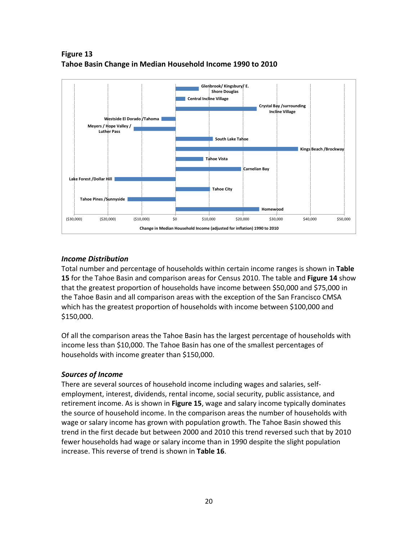

**Figure 13 Tahoe Basin Change in Median Household Income 1990 to 2010**

#### *Income Distribution*

Total number and percentage of households within certain income ranges is shown in **Table 15** for the Tahoe Basin and comparison areas for Census 2010. The table and **Figure 14** show that the greatest proportion of households have income between \$50,000 and \$75,000 in the Tahoe Basin and all comparison areas with the exception of the San Francisco CMSA which has the greatest proportion of households with income between \$100,000 and \$150,000.

Of all the comparison areas the Tahoe Basin has the largest percentage of households with income less than \$10,000. The Tahoe Basin has one of the smallest percentages of households with income greater than \$150,000.

#### *Sources of Income*

There are several sources of household income including wages and salaries, selfemployment, interest, dividends, rental income, social security, public assistance, and retirement income. As is shown in **Figure 15**, wage and salary income typically dominates the source of household income. In the comparison areas the number of households with wage or salary income has grown with population growth. The Tahoe Basin showed this trend in the first decade but between 2000 and 2010 this trend reversed such that by 2010 fewer households had wage or salary income than in 1990 despite the slight population increase. This reverse of trend is shown in **Table 16**.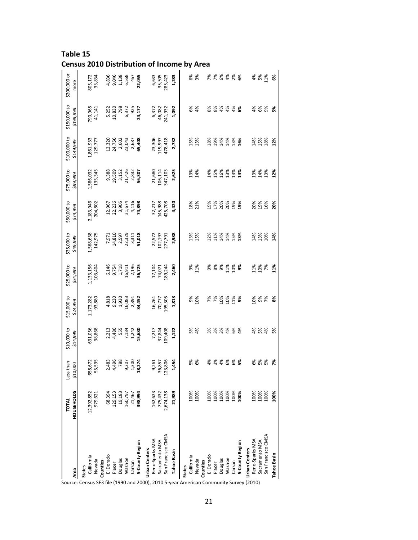| Table 15                                          |
|---------------------------------------------------|
| <b>Census 2010 Distribution of Income by Area</b> |

|                                                                                                                                                                                | <b>HOUSEHOLDS</b> | than<br>000<br>Less<br>510 | \$10,000 to<br>\$14,999                   | \$15,000 to<br>\$24,999                    | \$25,000 to<br>\$34,999                    | \$35,000 to<br>\$49,999                    | \$50,000 to<br>\$74,999             | \$75,000 to<br>\$99,999                                | \$100,000 to<br>\$149,999                     | \$150,000 to<br>\$199,999    | \$200,000 or<br>more |
|--------------------------------------------------------------------------------------------------------------------------------------------------------------------------------|-------------------|----------------------------|-------------------------------------------|--------------------------------------------|--------------------------------------------|--------------------------------------------|-------------------------------------|--------------------------------------------------------|-----------------------------------------------|------------------------------|----------------------|
| Source: Census SF3 file (1990 and 2000), 2010 5-year American Community Survey (2010)<br>Source: Census SF3 file (1990 and 2000), 2010 5-year American Community Survey (2010) |                   |                            |                                           |                                            |                                            |                                            |                                     |                                                        |                                               |                              |                      |
|                                                                                                                                                                                | 12,392,852        | 658,672                    | 631,056                                   | 1,173,282                                  | 1,133,156                                  | 1,568,638                                  | 2,183,946                           | 1,586,032                                              | 1,861,933                                     | 790,965                      | 305,172              |
|                                                                                                                                                                                | 979,621           | 55,595                     | 38,868                                    | 93,880                                     | 103,404                                    | 142,975                                    | 204,802                             | 135,345                                                | 129,777                                       | 41,141                       | 33,834               |
|                                                                                                                                                                                | 68,394            | 2,483                      | 2,213                                     |                                            |                                            |                                            |                                     |                                                        |                                               |                              | 4,836                |
|                                                                                                                                                                                |                   |                            |                                           |                                            |                                            |                                            |                                     |                                                        |                                               | 5,252<br>10,830              | 9,046                |
|                                                                                                                                                                                | 129,153<br>19,183 | 4,496<br>788               | 4,486<br>555<br>7,184<br>19,680<br>19,580 | 4,818<br>9,230<br>9,930<br>16,083<br>2,391 | 6,146<br>9,754<br>96,718<br>2,196<br>2,725 | 7,971<br>14,810<br>2,597<br>2,311<br>3,311 | 12,967<br>22,236<br>31,674<br>4,116 | 9,388<br>19,509<br>11,426<br>2,832<br>2,8307<br>56,307 | 12,320<br>24,756<br>29,043<br>23,087<br>2,687 | 798                          |                      |
|                                                                                                                                                                                | 160,797           | 9,207                      |                                           |                                            |                                            |                                            |                                     |                                                        |                                               | 6,372<br>925                 | 1,138<br>6,568       |
|                                                                                                                                                                                | 21,467            | 1,300                      |                                           |                                            |                                            |                                            |                                     |                                                        |                                               |                              | 467                  |
| 5-County Region                                                                                                                                                                | 398,994           | 18,274                     |                                           | 34,452                                     |                                            | 51,018                                     | 74,898                              |                                                        | 65,408                                        | 24,177                       | 22,055               |
|                                                                                                                                                                                |                   |                            |                                           |                                            |                                            |                                            |                                     |                                                        |                                               |                              |                      |
| Reno-Sparks MSA                                                                                                                                                                | 162,623           | 9,261                      |                                           |                                            | 17,104                                     | 22,572                                     | 32,217                              |                                                        |                                               |                              | 6,633                |
| Sacramento MSA                                                                                                                                                                 | 775,432           | 36,857                     | 7,217<br>37,844                           |                                            | 74,071                                     |                                            | 145,988                             | 21,680<br>106,114                                      | 23,306<br>119,997                             | 6,372<br>46,082              | 35,505               |
| San Francisco CMSA                                                                                                                                                             | 2,674,138         | 123,806                    | 109,408                                   | 16,261<br>70,777<br>195,305                | 89,244                                     | 102,197<br>277,791                         | 425,708                             | 347,103                                                | 178,418                                       | 241,932                      | 285,423              |
|                                                                                                                                                                                | 21,989            | 1,454                      | 1,122                                     | 1,813                                      | 2,460                                      | 2,988                                      | 4,420                               | 2,625                                                  | 2,732                                         | 1,092                        | 1,283                |
|                                                                                                                                                                                |                   |                            |                                           |                                            |                                            |                                            |                                     |                                                        |                                               |                              |                      |
|                                                                                                                                                                                | 100%              | 5%<br>6%                   | <b>S%</b><br>4%                           | 9%                                         | 9%                                         |                                            | 18%                                 | 13%                                                    | 15%                                           |                              | 6%                   |
|                                                                                                                                                                                | 100%              |                            |                                           | 10%                                        | 11%                                        | 13%<br>15%                                 | 21%                                 | 14%                                                    | 13%                                           | 6%<br>4%                     | 3%                   |
|                                                                                                                                                                                |                   |                            |                                           |                                            |                                            |                                            |                                     |                                                        |                                               |                              |                      |
|                                                                                                                                                                                | 100%              |                            |                                           | 7%<br>7%                                   |                                            | 12%                                        | 19%                                 | 14%                                                    | 18%                                           |                              |                      |
|                                                                                                                                                                                |                   |                            |                                           |                                            | <b>\$ \$ \$</b>                            | 11%                                        | 17%                                 | 15%                                                    | 19%                                           |                              |                      |
|                                                                                                                                                                                |                   | * * * * * * <b>*</b>       | * * * *                                   | $288$<br>$128$<br>$128$                    |                                            | 14%                                        | 20%<br>20%                          | 16%                                                    | 14%                                           | 8 8 8 8 8 8 8<br>8 8 9 9 9 8 | * * * * * * *        |
|                                                                                                                                                                                |                   |                            |                                           |                                            | 11%                                        |                                            |                                     | 13%                                                    | 14%                                           |                              |                      |
|                                                                                                                                                                                |                   |                            | 8%<br>4%                                  |                                            | $\frac{8}{9}$                              | $14%$<br>$15%$<br>$13%$                    | 19%<br>19%                          | 13%<br>14%                                             | 13%<br>16%                                    |                              |                      |
| 5-County Region                                                                                                                                                                |                   |                            |                                           |                                            |                                            |                                            |                                     |                                                        |                                               |                              |                      |
|                                                                                                                                                                                |                   |                            |                                           |                                            |                                            |                                            |                                     |                                                        |                                               |                              |                      |
| Reno-Sparks MSA                                                                                                                                                                | 100%              |                            |                                           | 10%                                        | 11%                                        | 14%                                        | 20%                                 | 13%                                                    | 14%                                           |                              | 4%                   |
| Sacramento MSA                                                                                                                                                                 | 100%              |                            | <b>s</b> & &                              | 9%<br>7%                                   | 10%<br>7%                                  | 13%<br>10%                                 | 19%                                 | 14%                                                    | 15%<br>18%                                    | <b>¥ &amp; &amp;</b>         | 5%<br>11%            |
| San Francisco CMSA                                                                                                                                                             | 100%              |                            |                                           |                                            |                                            |                                            | 16%                                 | 13%                                                    |                                               |                              |                      |
| Tahoe Basin                                                                                                                                                                    | 100%              | 7%                         | 5%                                        | 8%                                         | 11%                                        | 14%                                        | 20%                                 | 12%                                                    | 12%                                           | š,                           | 6%                   |
|                                                                                                                                                                                |                   |                            |                                           |                                            |                                            |                                            |                                     |                                                        |                                               |                              |                      |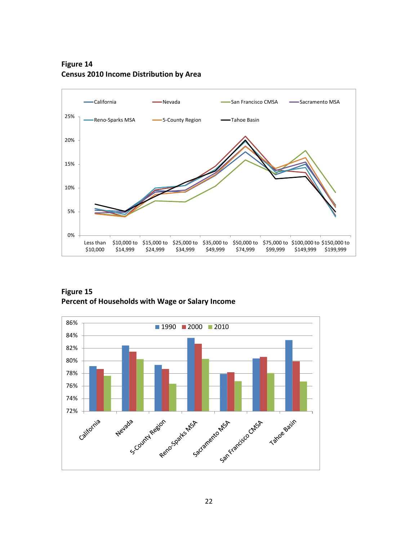**Figure 14 Census 2010 Income Distribution by Area**



**Figure 15 Percent of Households with Wage or Salary Income**

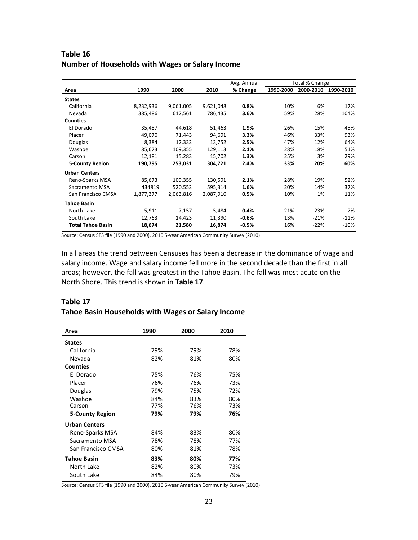## **Table 16 Number of Households with Wages or Salary Income**

|                          |           |           |           | Avg. Annual | Total % Change |           |           |
|--------------------------|-----------|-----------|-----------|-------------|----------------|-----------|-----------|
| Area                     | 1990      | 2000      | 2010      | % Change    | 1990-2000      | 2000-2010 | 1990-2010 |
| <b>States</b>            |           |           |           |             |                |           |           |
| California               | 8,232,936 | 9,061,005 | 9,621,048 | 0.8%        | 10%            | 6%        | 17%       |
| Nevada                   | 385,486   | 612,561   | 786,435   | 3.6%        | 59%            | 28%       | 104%      |
| <b>Counties</b>          |           |           |           |             |                |           |           |
| El Dorado                | 35,487    | 44.618    | 51,463    | 1.9%        | 26%            | 15%       | 45%       |
| Placer                   | 49,070    | 71,443    | 94,691    | 3.3%        | 46%            | 33%       | 93%       |
| Douglas                  | 8,384     | 12,332    | 13,752    | 2.5%        | 47%            | 12%       | 64%       |
| Washoe                   | 85,673    | 109,355   | 129,113   | 2.1%        | 28%            | 18%       | 51%       |
| Carson                   | 12,181    | 15,283    | 15,702    | 1.3%        | 25%            | 3%        | 29%       |
| <b>5-County Region</b>   | 190,795   | 253,031   | 304,721   | 2.4%        | 33%            | 20%       | 60%       |
| <b>Urban Centers</b>     |           |           |           |             |                |           |           |
| Reno-Sparks MSA          | 85,673    | 109,355   | 130,591   | 2.1%        | 28%            | 19%       | 52%       |
| Sacramento MSA           | 434819    | 520,552   | 595,314   | 1.6%        | 20%            | 14%       | 37%       |
| San Francisco CMSA       | 1,877,377 | 2,063,816 | 2,087,910 | 0.5%        | 10%            | 1%        | 11%       |
| <b>Tahoe Basin</b>       |           |           |           |             |                |           |           |
| North Lake               | 5,911     | 7,157     | 5,484     | $-0.4%$     | 21%            | $-23%$    | -7%       |
| South Lake               | 12,763    | 14,423    | 11,390    | $-0.6%$     | 13%            | $-21%$    | $-11%$    |
| <b>Total Tahoe Basin</b> | 18,674    | 21,580    | 16,874    | $-0.5%$     | 16%            | $-22%$    | $-10%$    |

Source: Census SF3 file (1990 and 2000), 2010 5-year American Community Survey (2010)

In all areas the trend between Censuses has been a decrease in the dominance of wage and salary income. Wage and salary income fell more in the second decade than the first in all areas; however, the fall was greatest in the Tahoe Basin. The fall was most acute on the North Shore. This trend is shown in **Table 17**.

#### **Table 17 Tahoe Basin Households with Wages or Salary Income**

| Area                   | 1990 | 2000 | 2010 |
|------------------------|------|------|------|
| <b>States</b>          |      |      |      |
| California             | 79%  | 79%  | 78%  |
| Nevada                 | 82%  | 81%  | 80%  |
| <b>Counties</b>        |      |      |      |
| El Dorado              | 75%  | 76%  | 75%  |
| Placer                 | 76%  | 76%  | 73%  |
| Douglas                | 79%  | 75%  | 72%  |
| Washoe                 | 84%  | 83%  | 80%  |
| Carson                 | 77%  | 76%  | 73%  |
| <b>5-County Region</b> | 79%  | 79%  | 76%  |
| <b>Urban Centers</b>   |      |      |      |
| Reno-Sparks MSA        | 84%  | 83%  | 80%  |
| Sacramento MSA         | 78%  | 78%  | 77%  |
| San Francisco CMSA     | 80%  | 81%  | 78%  |
| <b>Tahoe Basin</b>     | 83%  | 80%  | 77%  |
| North Lake             | 82%  | 80%  | 73%  |
| South Lake             | 84%  | 80%  | 79%  |

Source: Census SF3 file (1990 and 2000), 2010 5-year American Community Survey (2010)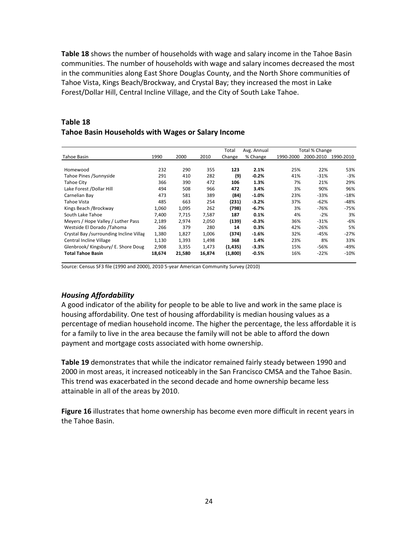**Table 18** shows the number of households with wage and salary income in the Tahoe Basin communities. The number of households with wage and salary incomes decreased the most in the communities along East Shore Douglas County, and the North Shore communities of Tahoe Vista, Kings Beach/Brockway, and Crystal Bay; they increased the most in Lake Forest/Dollar Hill, Central Incline Village, and the City of South Lake Tahoe.

#### **Table 18 Tahoe Basin Households with Wages or Salary Income**

|                                         |        |        |        | Total    | Avg. Annual |           | Total % Change |           |
|-----------------------------------------|--------|--------|--------|----------|-------------|-----------|----------------|-----------|
| Tahoe Basin                             | 1990   | 2000   | 2010   | Change   | % Change    | 1990-2000 | 2000-2010      | 1990-2010 |
| Homewood                                | 232    | 290    | 355    | 123      | 2.1%        | 25%       | 22%            | 53%       |
| Tahoe Pines / Sunnyside                 | 291    | 410    | 282    | (9)      | $-0.2%$     | 41%       | $-31%$         | $-3%$     |
| Tahoe City                              | 366    | 390    | 472    | 106      | 1.3%        | 7%        | 21%            | 29%       |
| Lake Forest /Dollar Hill                | 494    | 508    | 966    | 472      | 3.4%        | 3%        | 90%            | 96%       |
| Carnelian Bay                           | 473    | 581    | 389    | (84)     | $-1.0%$     | 23%       | $-33%$         | $-18%$    |
| Tahoe Vista                             | 485    | 663    | 254    | (231)    | $-3.2%$     | 37%       | $-62%$         | $-48%$    |
| Kings Beach / Brockway                  | 1,060  | 1,095  | 262    | (798)    | $-6.7%$     | 3%        | $-76%$         | $-75%$    |
| South Lake Tahoe                        | 7,400  | 7,715  | 7,587  | 187      | 0.1%        | 4%        | $-2%$          | 3%        |
| Meyers / Hope Valley / Luther Pass      | 2,189  | 2,974  | 2,050  | (139)    | $-0.3%$     | 36%       | $-31%$         | -6%       |
| Westside El Dorado / Tahoma             | 266    | 379    | 280    | 14       | 0.3%        | 42%       | $-26%$         | 5%        |
| Crystal Bay /surrounding Incline Villag | 1,380  | 1,827  | 1,006  | (374)    | $-1.6%$     | 32%       | $-45%$         | $-27%$    |
| Central Incline Village                 | 1,130  | 1,393  | 1,498  | 368      | 1.4%        | 23%       | 8%             | 33%       |
| Glenbrook/Kingsbury/E. Shore Doug       | 2,908  | 3,355  | 1,473  | (1, 435) | $-3.3%$     | 15%       | $-56%$         | -49%      |
| <b>Total Tahoe Basin</b>                | 18,674 | 21,580 | 16,874 | (1,800)  | $-0.5%$     | 16%       | $-22%$         | $-10%$    |

Source: Census SF3 file (1990 and 2000), 2010 5-year American Community Survey (2010)

## *Housing Affordability*

A good indicator of the ability for people to be able to live and work in the same place is housing affordability. One test of housing affordability is median housing values as a percentage of median household income. The higher the percentage, the less affordable it is for a family to live in the area because the family will not be able to afford the down payment and mortgage costs associated with home ownership.

**Table 19** demonstrates that while the indicator remained fairly steady between 1990 and 2000 in most areas, it increased noticeably in the San Francisco CMSA and the Tahoe Basin. This trend was exacerbated in the second decade and home ownership became less attainable in all of the areas by 2010.

**Figure 16** illustrates that home ownership has become even more difficult in recent years in the Tahoe Basin.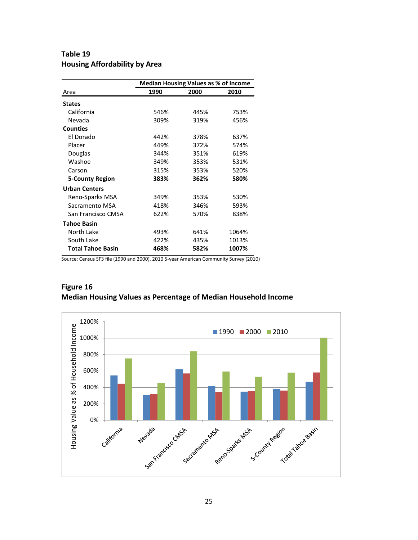## **Table 19 Housing Affordability by Area**

|                          | <b>Median Housing Values as % of Income</b> |      |       |  |  |  |  |
|--------------------------|---------------------------------------------|------|-------|--|--|--|--|
| Area                     | 1990                                        | 2000 | 2010  |  |  |  |  |
| <b>States</b>            |                                             |      |       |  |  |  |  |
| California               | 546%                                        | 445% | 753%  |  |  |  |  |
| Nevada                   | 309%                                        | 319% | 456%  |  |  |  |  |
| <b>Counties</b>          |                                             |      |       |  |  |  |  |
| El Dorado                | 442%                                        | 378% | 637%  |  |  |  |  |
| Placer                   | 449%                                        | 372% | 574%  |  |  |  |  |
| Douglas                  | 344%                                        | 351% | 619%  |  |  |  |  |
| Washoe                   | 349%                                        | 353% | 531%  |  |  |  |  |
| Carson                   | 315%                                        | 353% | 520%  |  |  |  |  |
| <b>5-County Region</b>   | 383%                                        | 362% | 580%  |  |  |  |  |
| <b>Urban Centers</b>     |                                             |      |       |  |  |  |  |
| Reno-Sparks MSA          | 349%                                        | 353% | 530%  |  |  |  |  |
| Sacramento MSA           | 418%                                        | 346% | 593%  |  |  |  |  |
| San Francisco CMSA       | 622%                                        | 570% | 838%  |  |  |  |  |
| <b>Tahoe Basin</b>       |                                             |      |       |  |  |  |  |
| North Lake               | 493%                                        | 641% | 1064% |  |  |  |  |
| South Lake               | 422%                                        | 435% | 1013% |  |  |  |  |
| <b>Total Tahoe Basin</b> | 468%                                        | 582% | 1007% |  |  |  |  |

Source: Census SF3 file (1990 and 2000), 2010 5-year American Community Survey (2010)



## **Figure 16 Median Housing Values as Percentage of Median Household Income**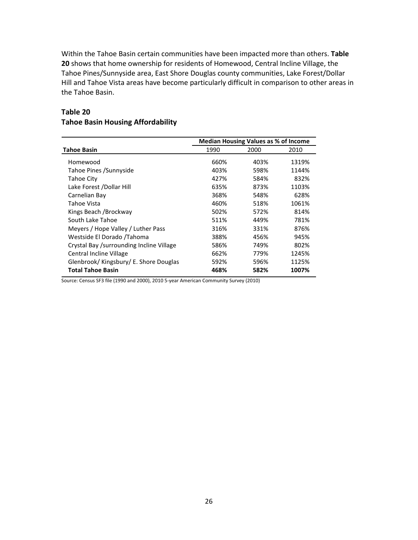Within the Tahoe Basin certain communities have been impacted more than others. **Table 20** shows that home ownership for residents of Homewood, Central Incline Village, the Tahoe Pines/Sunnyside area, East Shore Douglas county communities, Lake Forest/Dollar Hill and Tahoe Vista areas have become particularly difficult in comparison to other areas in the Tahoe Basin.

|                                          |      | <b>Median Housing Values as % of Income</b> |       |
|------------------------------------------|------|---------------------------------------------|-------|
| <b>Tahoe Basin</b>                       | 1990 | 2000                                        | 2010  |
| Homewood                                 | 660% | 403%                                        | 1319% |
| Tahoe Pines / Sunnyside                  | 403% | 598%                                        | 1144% |
| Tahoe City                               | 427% | 584%                                        | 832%  |
| Lake Forest /Dollar Hill                 | 635% | 873%                                        | 1103% |
| Carnelian Bay                            | 368% | 548%                                        | 628%  |
| Tahoe Vista                              | 460% | 518%                                        | 1061% |
| Kings Beach / Brockway                   | 502% | 572%                                        | 814%  |
| South Lake Tahoe                         | 511% | 449%                                        | 781%  |
| Meyers / Hope Valley / Luther Pass       | 316% | 331%                                        | 876%  |
| Westside El Dorado / Tahoma              | 388% | 456%                                        | 945%  |
| Crystal Bay /surrounding Incline Village | 586% | 749%                                        | 802%  |
| Central Incline Village                  | 662% | 779%                                        | 1245% |
| Glenbrook/ Kingsbury/ E. Shore Douglas   | 592% | 596%                                        | 1125% |
| <b>Total Tahoe Basin</b>                 | 468% | 582%                                        | 1007% |

## **Table 20 Tahoe Basin Housing Affordability**

Source: Census SF3 file (1990 and 2000), 2010 5-year American Community Survey (2010)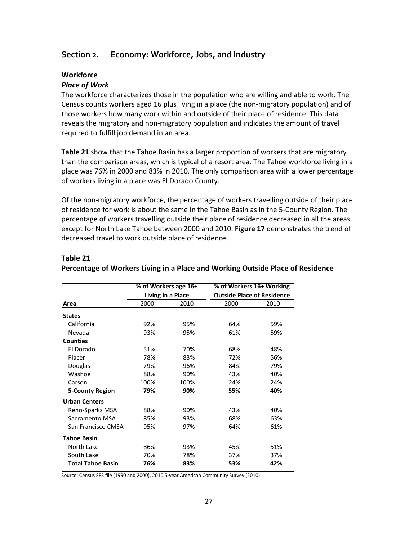## **Section 2. Economy: Workforce, Jobs, and Industry**

## **Workforce**

#### *Place of Work*

The workforce characterizes those in the population who are willing and able to work. The Census counts workers aged 16 plus living in a place (the non-migratory population) and of those workers how many work within and outside of their place of residence. This data reveals the migratory and non-migratory population and indicates the amount of travel required to fulfill job demand in an area.

**Table 21** show that the Tahoe Basin has a larger proportion of workers that are migratory than the comparison areas, which is typical of a resort area. The Tahoe workforce living in a place was 76% in 2000 and 83% in 2010. The only comparison area with a lower percentage of workers living in a place was El Dorado County.

Of the non-migratory workforce, the percentage of workers travelling outside of their place of residence for work is about the same in the Tahoe Basin as in the 5-County Region. The percentage of workers travelling outside their place of residence decreased in all the areas except for North Lake Tahoe between 2000 and 2010. **Figure 17** demonstrates the trend of decreased travel to work outside place of residence.

|                          | % of Workers age 16+              |      | % of Workers 16+ Working |                                   |  |  |
|--------------------------|-----------------------------------|------|--------------------------|-----------------------------------|--|--|
|                          | Living In a Place<br>2000<br>2010 |      |                          | <b>Outside Place of Residence</b> |  |  |
| Area                     |                                   |      | 2000                     | 2010                              |  |  |
| <b>States</b>            |                                   |      |                          |                                   |  |  |
| California               | 92%                               | 95%  | 64%                      | 59%                               |  |  |
| Nevada                   | 93%                               | 95%  | 61%                      | 59%                               |  |  |
| <b>Counties</b>          |                                   |      |                          |                                   |  |  |
| El Dorado                | 51%                               | 70%  | 68%                      | 48%                               |  |  |
| Placer                   | 78%                               | 83%  | 72%                      | 56%                               |  |  |
| Douglas                  | 79%                               | 96%  | 84%                      | 79%                               |  |  |
| Washoe                   | 88%                               | 90%  | 43%                      | 40%                               |  |  |
| Carson                   | 100%                              | 100% | 24%                      | 24%                               |  |  |
| <b>5-County Region</b>   | 79%                               | 90%  | 55%                      | 40%                               |  |  |
| <b>Urban Centers</b>     |                                   |      |                          |                                   |  |  |
| Reno-Sparks MSA          | 88%                               | 90%  | 43%                      | 40%                               |  |  |
| Sacramento MSA           | 85%                               | 93%  | 68%                      | 63%                               |  |  |
| San Francisco CMSA       | 95%                               | 97%  | 64%                      | 61%                               |  |  |
| <b>Tahoe Basin</b>       |                                   |      |                          |                                   |  |  |
| North Lake               | 86%                               | 93%  | 45%                      | 51%                               |  |  |
| South Lake               | 70%                               | 78%  | 37%                      | 37%                               |  |  |
| <b>Total Tahoe Basin</b> | 76%<br>83%                        |      | 53%                      | 42%                               |  |  |

#### **Table 21 Percentage of Workers Living in a Place and Working Outside Place of Residence**

Source: Census SF3 file (1990 and 2000), 2010 5-year American Community Survey (2010)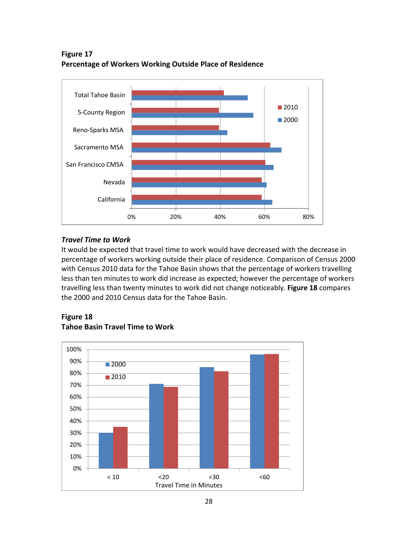**Figure 17 Percentage of Workers Working Outside Place of Residence**



## *Travel Time to Work*

It would be expected that travel time to work would have decreased with the decrease in percentage of workers working outside their place of residence. Comparison of Census 2000 with Census 2010 data for the Tahoe Basin shows that the percentage of workers travelling less than ten minutes to work did increase as expected; however the percentage of workers travelling less than twenty minutes to work did not change noticeably. **Figure 18** compares the 2000 and 2010 Census data for the Tahoe Basin.



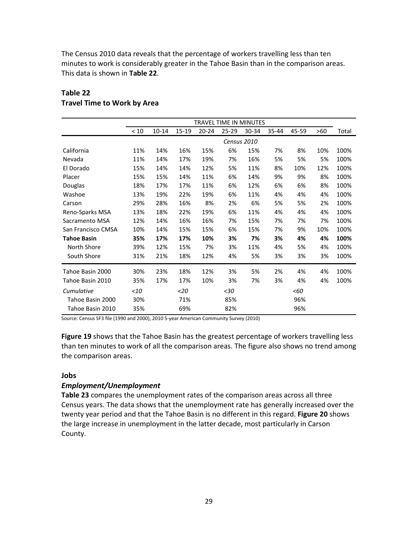The Census 2010 data reveals that the percentage of workers travelling less than ten minutes to work is considerably greater in the Tahoe Basin than in the comparison areas. This data is shown in **Table 22**.

|                    | <b>TRAVEL TIME IN MINUTES</b> |           |           |           |       |       |       |       |     |       |
|--------------------|-------------------------------|-----------|-----------|-----------|-------|-------|-------|-------|-----|-------|
|                    | < 10                          | $10 - 14$ | $15 - 19$ | $20 - 24$ | 25-29 | 30-34 | 35-44 | 45-59 | >60 | Total |
|                    | Census 2010                   |           |           |           |       |       |       |       |     |       |
| California         | 11%                           | 14%       | 16%       | 15%       | 6%    | 15%   | 7%    | 8%    | 10% | 100%  |
| Nevada             | 11%                           | 14%       | 17%       | 19%       | 7%    | 16%   | 5%    | 5%    | 5%  | 100%  |
| El Dorado          | 15%                           | 14%       | 14%       | 12%       | 5%    | 11%   | 8%    | 10%   | 12% | 100%  |
| Placer             | 15%                           | 15%       | 14%       | 11%       | 6%    | 14%   | 9%    | 9%    | 8%  | 100%  |
| Douglas            | 18%                           | 17%       | 17%       | 11%       | 6%    | 12%   | 6%    | 6%    | 8%  | 100%  |
| Washoe             | 13%                           | 19%       | 22%       | 19%       | 6%    | 11%   | 4%    | 4%    | 4%  | 100%  |
| Carson             | 29%                           | 28%       | 16%       | 8%        | 2%    | 6%    | 5%    | 5%    | 2%  | 100%  |
| Reno-Sparks MSA    | 13%                           | 18%       | 22%       | 19%       | 6%    | 11%   | 4%    | 4%    | 4%  | 100%  |
| Sacramento MSA     | 12%                           | 14%       | 16%       | 16%       | 7%    | 15%   | 7%    | 7%    | 7%  | 100%  |
| San Francisco CMSA | 10%                           | 14%       | 15%       | 15%       | 6%    | 15%   | 7%    | 9%    | 10% | 100%  |
| <b>Tahoe Basin</b> | 35%                           | 17%       | 17%       | 10%       | 3%    | 7%    | 3%    | 4%    | 4%  | 100%  |
| North Shore        | 39%                           | 12%       | 15%       | 7%        | 3%    | 11%   | 4%    | 5%    | 4%  | 100%  |
| South Shore        | 31%                           | 21%       | 18%       | 12%       | 4%    | 5%    | 3%    | 3%    | 3%  | 100%  |
| Tahoe Basin 2000   | 30%                           | 23%       | 18%       | 12%       | 3%    | 5%    | 2%    | 4%    | 4%  | 100%  |
| Tahoe Basin 2010   | 35%                           | 17%       | 17%       | 10%       | 3%    | 7%    | 3%    | 4%    | 4%  | 100%  |
| Cumulative         | $<$ 10                        |           | $20$      |           | $30$  |       |       | < 60  |     |       |
| Tahoe Basin 2000   | 30%                           |           | 71%       |           | 85%   |       |       | 96%   |     |       |
| Tahoe Basin 2010   | 35%                           |           | 69%       |           | 82%   |       |       | 96%   |     |       |

#### **Table 22 Travel Time to Work by Area**

Source: Census SF3 file (1990 and 2000), 2010 5-year American Community Survey (2010)

**Figure 19** shows that the Tahoe Basin has the greatest percentage of workers travelling less than ten minutes to work of all the comparison areas. The figure also shows no trend among the comparison areas.

#### **Jobs**

#### *Employment/Unemployment*

**Table 23** compares the unemployment rates of the comparison areas across all three Census years. The data shows that the unemployment rate has generally increased over the twenty year period and that the Tahoe Basin is no different in this regard. **Figure 20** shows the large increase in unemployment in the latter decade, most particularly in Carson County.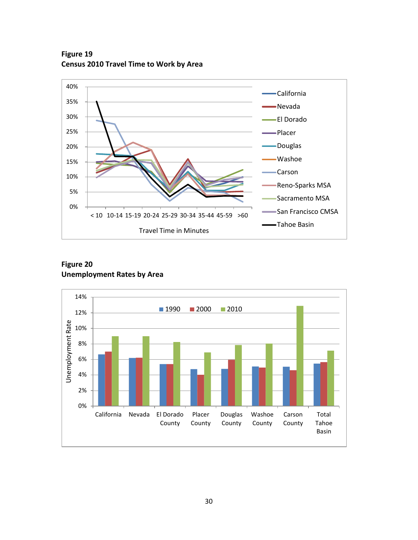

**Figure 19 Census 2010 Travel Time to Work by Area**

## **Figure 20 Unemployment Rates by Area**

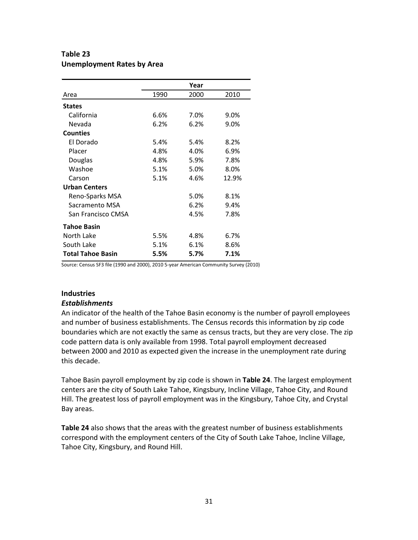## **Table 23 Unemployment Rates by Area**

|                          |      | Year |       |
|--------------------------|------|------|-------|
| Area                     | 1990 | 2000 | 2010  |
| <b>States</b>            |      |      |       |
| California               | 6.6% | 7.0% | 9.0%  |
| Nevada                   | 6.2% | 6.2% | 9.0%  |
| <b>Counties</b>          |      |      |       |
| El Dorado                | 5.4% | 5.4% | 8.2%  |
| Placer                   | 4.8% | 4.0% | 6.9%  |
| Douglas                  | 4.8% | 5.9% | 7.8%  |
| Washoe                   | 5.1% | 5.0% | 8.0%  |
| Carson                   | 5.1% | 4.6% | 12.9% |
| <b>Urban Centers</b>     |      |      |       |
| Reno-Sparks MSA          |      | 5.0% | 8.1%  |
| Sacramento MSA           |      | 6.2% | 9.4%  |
| San Francisco CMSA       |      | 4.5% | 7.8%  |
| <b>Tahoe Basin</b>       |      |      |       |
| North Lake               | 5.5% | 4.8% | 6.7%  |
| South Lake               | 5.1% | 6.1% | 8.6%  |
| <b>Total Tahoe Basin</b> | 5.5% | 5.7% | 7.1%  |

Source: Census SF3 file (1990 and 2000), 2010 5-year American Community Survey (2010)

## **Industries**

#### *Establishments*

An indicator of the health of the Tahoe Basin economy is the number of payroll employees and number of business establishments. The Census records this information by zip code boundaries which are not exactly the same as census tracts, but they are very close. The zip code pattern data is only available from 1998. Total payroll employment decreased between 2000 and 2010 as expected given the increase in the unemployment rate during this decade.

Tahoe Basin payroll employment by zip code is shown in **Table 24**. The largest employment centers are the city of South Lake Tahoe, Kingsbury, Incline Village, Tahoe City, and Round Hill. The greatest loss of payroll employment was in the Kingsbury, Tahoe City, and Crystal Bay areas.

**Table 24** also shows that the areas with the greatest number of business establishments correspond with the employment centers of the City of South Lake Tahoe, Incline Village, Tahoe City, Kingsbury, and Round Hill.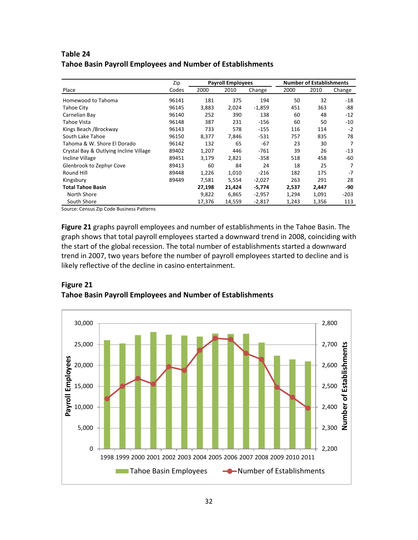## **Table 24 Tahoe Basin Payroll Employees and Number of Establishments**

|                                        | Zip   | <b>Payroll Employees</b> |        | <b>Number of Establishments</b> |       |       |        |
|----------------------------------------|-------|--------------------------|--------|---------------------------------|-------|-------|--------|
| Place                                  | Codes | 2000                     | 2010   | Change                          | 2000  | 2010  | Change |
| Homewood to Tahoma                     | 96141 | 181                      | 375    | 194                             | 50    | 32    | $-18$  |
| Tahoe City                             | 96145 | 3,883                    | 2,024  | $-1,859$                        | 451   | 363   | -88    |
| Carnelian Bay                          | 96140 | 252                      | 390    | 138                             | 60    | 48    | $-12$  |
| Tahoe Vista                            | 96148 | 387                      | 231    | $-156$                          | 60    | 50    | -10    |
| Kings Beach / Brockway                 | 96143 | 733                      | 578    | $-155$                          | 116   | 114   | $-2$   |
| South Lake Tahoe                       | 96150 | 8,377                    | 7,846  | $-531$                          | 757   | 835   | 78     |
| Tahoma & W. Shore El Dorado            | 96142 | 132                      | 65     | $-67$                           | 23    | 30    | 7      |
| Crystal Bay & Outlying Incline Village | 89402 | 1,207                    | 446    | $-761$                          | 39    | 26    | $-13$  |
| <b>Incline Village</b>                 | 89451 | 3,179                    | 2,821  | $-358$                          | 518   | 458   | -60    |
| Glenbrook to Zephyr Cove               | 89413 | 60                       | 84     | 24                              | 18    | 25    | 7      |
| Round Hill                             | 89448 | 1,226                    | 1,010  | $-216$                          | 182   | 175   | $-7$   |
| Kingsbury                              | 89449 | 7,581                    | 5,554  | $-2,027$                        | 263   | 291   | 28     |
| <b>Total Tahoe Basin</b>               |       | 27,198                   | 21,424 | $-5,774$                        | 2,537 | 2,447 | -90    |
| North Shore                            |       | 9,822                    | 6,865  | $-2,957$                        | 1,294 | 1,091 | $-203$ |
| South Shore                            |       | 17.376                   | 14.559 | $-2,817$                        | 1,243 | 1,356 | 113    |

Source: Census Zip Code Business Patterns

**Figure 21** graphs payroll employees and number of establishments in the Tahoe Basin. The graph shows that total payroll employees started a downward trend in 2008, coinciding with the start of the global recession. The total number of establishments started a downward trend in 2007, two years before the number of payroll employees started to decline and is likely reflective of the decline in casino entertainment.



#### **Figure 21 Tahoe Basin Payroll Employees and Number of Establishments**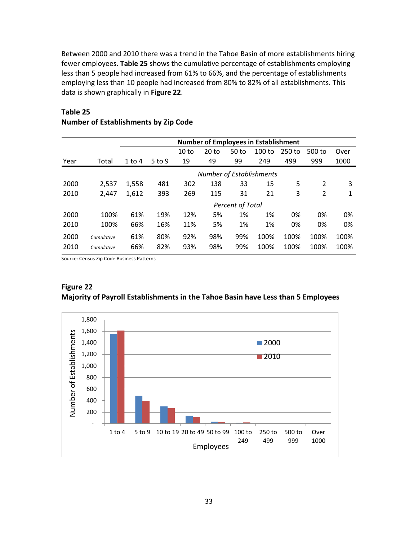Between 2000 and 2010 there was a trend in the Tahoe Basin of more establishments hiring fewer employees. **Table 25** shows the cumulative percentage of establishments employing less than 5 people had increased from 61% to 66%, and the percentage of establishments employing less than 10 people had increased from 80% to 82% of all establishments. This data is shown graphically in **Figure 22**.

|      |            | <b>Number of Employees in Establishment</b> |                                 |                  |         |                  |        |        |                |      |  |
|------|------------|---------------------------------------------|---------------------------------|------------------|---------|------------------|--------|--------|----------------|------|--|
|      |            |                                             |                                 | 10 <sub>to</sub> | $20$ to | 50 <sub>to</sub> | 100 to | 250 to | 500 to         | Over |  |
| Year | Total      | $1$ to $4$                                  | $5$ to 9                        | 19               | 49      | 99               | 249    | 499    | 999            | 1000 |  |
|      |            |                                             | <b>Number of Establishments</b> |                  |         |                  |        |        |                |      |  |
| 2000 | 2,537      | 1,558                                       | 481                             | 302              | 138     | 33               | 15     | 5      | $\overline{2}$ | 3    |  |
| 2010 | 2,447      | 1,612                                       | 393                             | 269              | 115     | 31               | 21     | 3      | $\overline{2}$ | 1    |  |
|      |            | <b>Percent of Total</b>                     |                                 |                  |         |                  |        |        |                |      |  |
| 2000 | 100%       | 61%                                         | 19%                             | 12%              | 5%      | 1%               | 1%     | 0%     | 0%             | 0%   |  |
| 2010 | 100%       | 66%                                         | 16%                             | 11%              | 5%      | 1%               | 1%     | 0%     | 0%             | 0%   |  |
| 2000 | Cumulative | 61%                                         | 80%                             | 92%              | 98%     | 99%              | 100%   | 100%   | 100%           | 100% |  |
| 2010 | Cumulative | 66%                                         | 82%                             | 93%              | 98%     | 99%              | 100%   | 100%   | 100%           | 100% |  |

## **Table 25 Number of Establishments by Zip Code**

Source: Census Zip Code Business Patterns



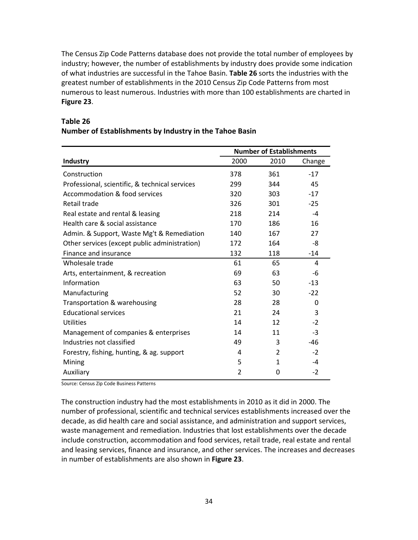The Census Zip Code Patterns database does not provide the total number of employees by industry; however, the number of establishments by industry does provide some indication of what industries are successful in the Tahoe Basin. **Table 26** sorts the industries with the greatest number of establishments in the 2010 Census Zip Code Patterns from most numerous to least numerous. Industries with more than 100 establishments are charted in **Figure 23**.

|                                                | <b>Number of Establishments</b> |      |        |  |  |
|------------------------------------------------|---------------------------------|------|--------|--|--|
| Industry                                       | 2000                            | 2010 | Change |  |  |
| Construction                                   | 378                             | 361  | $-17$  |  |  |
| Professional, scientific, & technical services | 299                             | 344  | 45     |  |  |
| Accommodation & food services                  | 320                             | 303  | $-17$  |  |  |
| Retail trade                                   | 326                             | 301  | $-25$  |  |  |
| Real estate and rental & leasing               | 218                             | 214  | $-4$   |  |  |
| Health care & social assistance                | 170                             | 186  | 16     |  |  |
| Admin. & Support, Waste Mg't & Remediation     | 140                             | 167  | 27     |  |  |
| Other services (except public administration)  | 172                             | 164  | -8     |  |  |
| Finance and insurance                          | 132                             | 118  | $-14$  |  |  |
| Wholesale trade                                | 61                              | 65   | 4      |  |  |
| Arts, entertainment, & recreation              | 69                              | 63   | -6     |  |  |
| Information                                    | 63                              | 50   | $-13$  |  |  |
| Manufacturing                                  | 52                              | 30   | $-22$  |  |  |
| Transportation & warehousing                   | 28                              | 28   | 0      |  |  |
| <b>Educational services</b>                    | 21                              | 24   | 3      |  |  |
| Utilities                                      | 14                              | 12   | $-2$   |  |  |
| Management of companies & enterprises          | 14                              | 11   | $-3$   |  |  |
| Industries not classified                      | 49                              | 3    | $-46$  |  |  |
| Forestry, fishing, hunting, & ag. support      | 4                               | 2    | $-2$   |  |  |
| Mining                                         | 5                               | 1    | -4     |  |  |
| Auxiliary                                      | $\overline{2}$                  | 0    | $-2$   |  |  |

## **Table 26 Number of Establishments by Industry in the Tahoe Basin**

Source: Census Zip Code Business Patterns

The construction industry had the most establishments in 2010 as it did in 2000. The number of professional, scientific and technical services establishments increased over the decade, as did health care and social assistance, and administration and support services, waste management and remediation. Industries that lost establishments over the decade include construction, accommodation and food services, retail trade, real estate and rental and leasing services, finance and insurance, and other services. The increases and decreases in number of establishments are also shown in **Figure 23**.